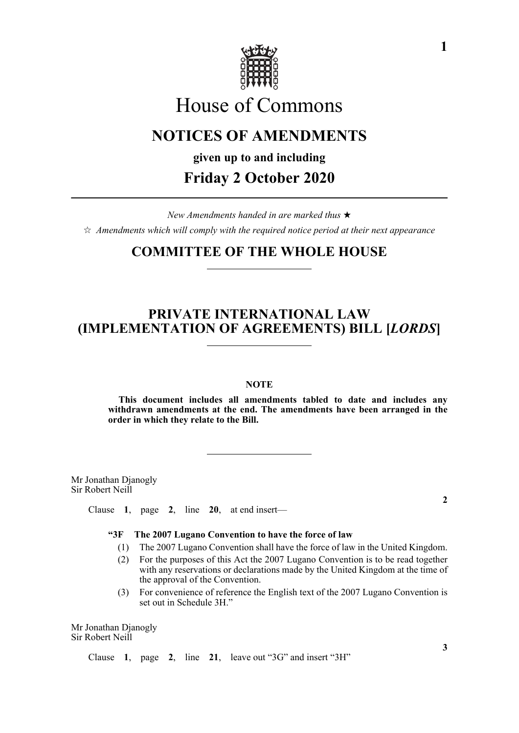

# House of Commons

## **NOTICES OF AMENDMENTS**

**given up to and including**

## **Friday 2 October 2020**

*New Amendments handed in are marked thus*   $\hat{\varphi}$  Amendments which will comply with the required notice period at their next appearance

## **COMMITTEE OF THE WHOLE HOUSE**

## **PRIVATE INTERNATIONAL LAW (IMPLEMENTATION OF AGREEMENTS) BILL [***LORDS***]**

## **NOTE**

**This document includes all amendments tabled to date and includes any withdrawn amendments at the end. The amendments have been arranged in the order in which they relate to the Bill.**

Mr Jonathan Djanogly Sir Robert Neill

Clause **1**, page **2**, line **20**, at end insert—

**2**

## **"3F The 2007 Lugano Convention to have the force of law**

- (1) The 2007 Lugano Convention shall have the force of law in the United Kingdom.
- (2) For the purposes of this Act the 2007 Lugano Convention is to be read together with any reservations or declarations made by the United Kingdom at the time of the approval of the Convention.
- (3) For convenience of reference the English text of the 2007 Lugano Convention is set out in Schedule 3H."

Mr Jonathan Djanogly Sir Robert Neill

Clause **1**, page **2**, line **21**, leave out "3G" and insert "3H"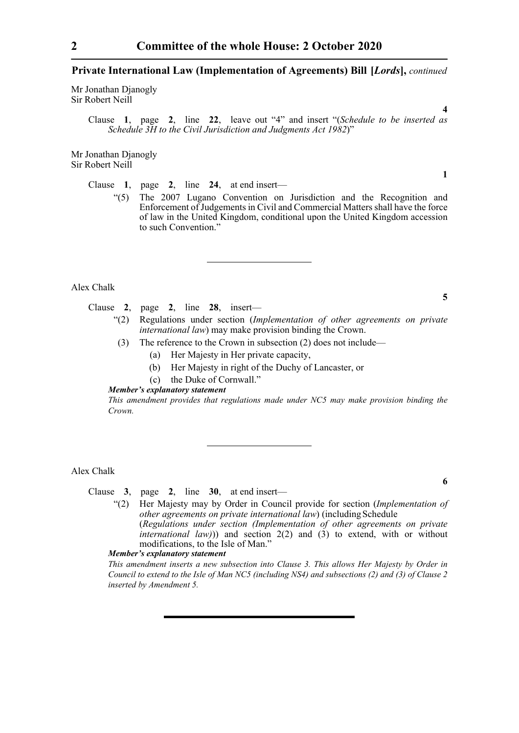Mr Jonathan Djanogly Sir Robert Neill

> Clause **1**, page **2**, line **22**, leave out "4" and insert "(*Schedule to be inserted as Schedule 3H to the Civil Jurisdiction and Judgments Act 1982*)"

Mr Jonathan Djanogly Sir Robert Neill

Clause **1**, page **2**, line **24**, at end insert—

"(5) The 2007 Lugano Convention on Jurisdiction and the Recognition and Enforcement of Judgements in Civil and Commercial Matters shall have the force of law in the United Kingdom, conditional upon the United Kingdom accession to such Convention."

Alex Chalk

Clause **2**, page **2**, line **28**, insert—

- "(2) Regulations under section (*Implementation of other agreements on private international law*) may make provision binding the Crown.
- (3) The reference to the Crown in subsection (2) does not include—
	- (a) Her Majesty in Her private capacity,
	- (b) Her Majesty in right of the Duchy of Lancaster, or
	- (c) the Duke of Cornwall."

*Member's explanatory statement* 

*This amendment provides that regulations made under NC5 may make provision binding the Crown.*

Alex Chalk

Clause **3**, page **2**, line **30**, at end insert—

"(2) Her Majesty may by Order in Council provide for section (*Implementation of other agreements on private international law*) (including Schedule (*Regulations under section (Implementation of other agreements on private international law)*)) and section 2(2) and (3) to extend, with or without modifications, to the Isle of Man."

#### *Member's explanatory statement*

*This amendment inserts a new subsection into Clause 3. This allows Her Majesty by Order in Council to extend to the Isle of Man NC5 (including NS4) and subsections (2) and (3) of Clause 2 inserted by Amendment 5.*

**4**

**5**

**6**

**1**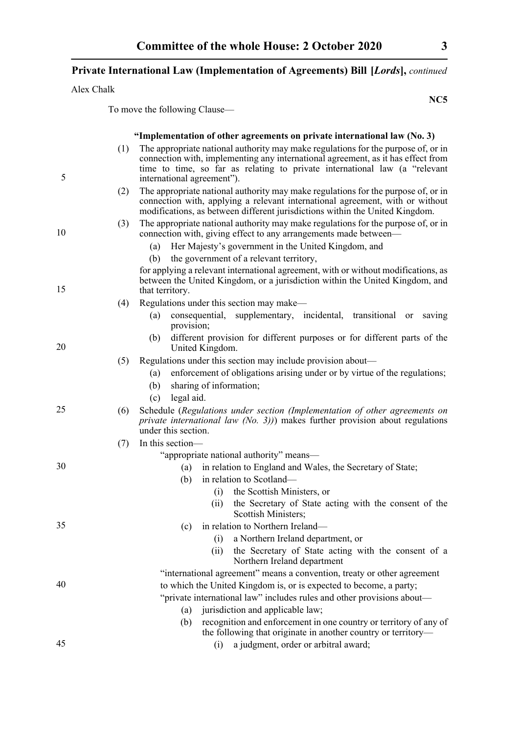**"Implementation of other agreements on private international law (No. 3)**

Alex Chalk

To move the following Clause—

| 5  | (1) | The appropriate national authority may make regulations for the purpose of, or in<br>connection with, implementing any international agreement, as it has effect from<br>time to time, so far as relating to private international law (a "relevant<br>international agreement"). |
|----|-----|-----------------------------------------------------------------------------------------------------------------------------------------------------------------------------------------------------------------------------------------------------------------------------------|
|    | (2) | The appropriate national authority may make regulations for the purpose of, or in<br>connection with, applying a relevant international agreement, with or without<br>modifications, as between different jurisdictions within the United Kingdom.                                |
| 10 | (3) | The appropriate national authority may make regulations for the purpose of, or in<br>connection with, giving effect to any arrangements made between—                                                                                                                             |
|    |     | Her Majesty's government in the United Kingdom, and<br>(a)                                                                                                                                                                                                                        |
|    |     | the government of a relevant territory,<br>(b)                                                                                                                                                                                                                                    |
| 15 |     | for applying a relevant international agreement, with or without modifications, as<br>between the United Kingdom, or a jurisdiction within the United Kingdom, and<br>that territory.                                                                                             |
|    | (4) | Regulations under this section may make—                                                                                                                                                                                                                                          |
|    |     | consequential, supplementary, incidental, transitional or<br>(a)<br>saving<br>provision;                                                                                                                                                                                          |
| 20 |     | different provision for different purposes or for different parts of the<br>(b)<br>United Kingdom.                                                                                                                                                                                |
|    | (5) | Regulations under this section may include provision about—                                                                                                                                                                                                                       |
|    |     | enforcement of obligations arising under or by virtue of the regulations;<br>(a)                                                                                                                                                                                                  |
|    |     | sharing of information;<br>(b)                                                                                                                                                                                                                                                    |
|    |     | legal aid.<br>(c)                                                                                                                                                                                                                                                                 |
| 25 | (6) | Schedule (Regulations under section (Implementation of other agreements on<br>private international law ( $No. 3$ )) makes further provision about regulations<br>under this section.                                                                                             |
|    | (7) | In this section-                                                                                                                                                                                                                                                                  |
|    |     | "appropriate national authority" means—                                                                                                                                                                                                                                           |
| 30 |     | in relation to England and Wales, the Secretary of State;<br>(a)                                                                                                                                                                                                                  |
|    |     | in relation to Scotland-<br>(b)                                                                                                                                                                                                                                                   |
|    |     | the Scottish Ministers, or<br>(i)                                                                                                                                                                                                                                                 |
|    |     | the Secretary of State acting with the consent of the<br>(ii)<br>Scottish Ministers;                                                                                                                                                                                              |
| 35 |     | in relation to Northern Ireland-<br>(c)                                                                                                                                                                                                                                           |
|    |     | a Northern Ireland department, or<br>(i)                                                                                                                                                                                                                                          |
|    |     | the Secretary of State acting with the consent of a<br>(ii)<br>Northern Ireland department                                                                                                                                                                                        |
|    |     | "international agreement" means a convention, treaty or other agreement                                                                                                                                                                                                           |
| 40 |     | to which the United Kingdom is, or is expected to become, a party;                                                                                                                                                                                                                |
|    |     | "private international law" includes rules and other provisions about-                                                                                                                                                                                                            |
|    |     | jurisdiction and applicable law;<br>(a)                                                                                                                                                                                                                                           |
|    |     | recognition and enforcement in one country or territory of any of<br>(b)<br>the following that originate in another country or territory-                                                                                                                                         |
| 45 |     | a judgment, order or arbitral award;<br>(i)                                                                                                                                                                                                                                       |

**NC5**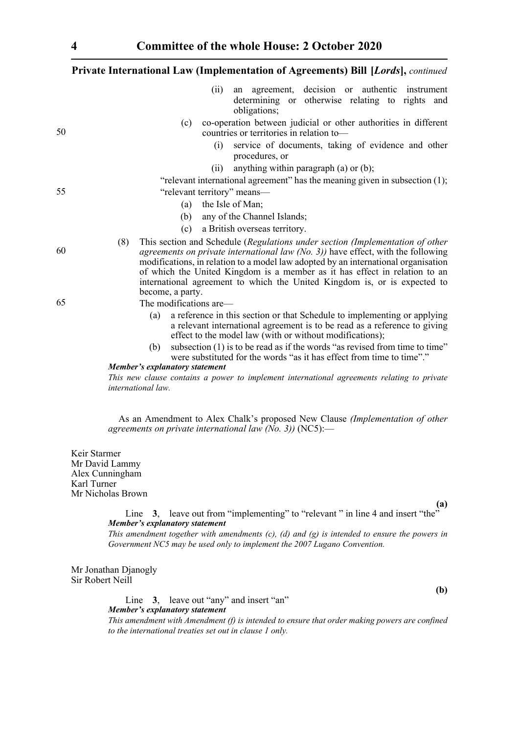- (ii) an agreement, decision or authentic instrument determining or otherwise relating to rights and obligations;
- (c) co-operation between judicial or other authorities in different countries or territories in relation to—
	- (i) service of documents, taking of evidence and other procedures, or
	- (ii) anything within paragraph (a) or (b);
- "relevant international agreement" has the meaning given in subsection (1); "relevant territory" means—
	- (a) the Isle of Man;
	- (b) any of the Channel Islands;
	- (c) a British overseas territory.
- (8) This section and Schedule (*Regulations under section (Implementation of other agreements on private international law (No. 3))* have effect, with the following modifications, in relation to a model law adopted by an international organisation of which the United Kingdom is a member as it has effect in relation to an international agreement to which the United Kingdom is, or is expected to become, a party.
	- The modifications are—
		- (a) a reference in this section or that Schedule to implementing or applying a relevant international agreement is to be read as a reference to giving effect to the model law (with or without modifications);
		- (b) subsection (1) is to be read as if the words "as revised from time to time" were substituted for the words "as it has effect from time to time"."

## *Member's explanatory statement*

*This new clause contains a power to implement international agreements relating to private international law.*

As an Amendment to Alex Chalk's proposed New Clause *(Implementation of other agreements on private international law (No. 3))* (NC5):—

Keir Starmer Mr David Lammy Alex Cunningham Karl Turner Mr Nicholas Brown

**(a)**

**(b)**

Line **3**, leave out from "implementing" to "relevant" in line 4 and insert "the" *Member's explanatory statement* 

*This amendment together with amendments (c), (d) and (g) is intended to ensure the powers in Government NC5 may be used only to implement the 2007 Lugano Convention.*

Mr Jonathan Djanogly Sir Robert Neill

> Line 3, leave out "any" and insert "an" *Member's explanatory statement*

*This amendment with Amendment (f) is intended to ensure that order making powers are confined to the international treaties set out in clause 1 only.*

50

55

60

65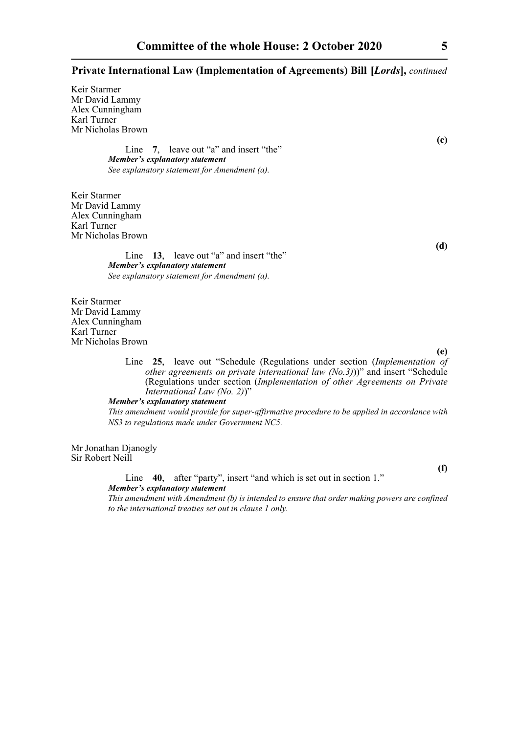Keir Starmer Mr David Lammy Alex Cunningham Karl Turner Mr Nicholas Brown

> Line 7, leave out "a" and insert "the" *Member's explanatory statement See explanatory statement for Amendment (a).*

Keir Starmer Mr David Lammy Alex Cunningham Karl Turner Mr Nicholas Brown

**(d)**

Line **13**, leave out "a" and insert "the" *Member's explanatory statement See explanatory statement for Amendment (a).*

Keir Starmer Mr David Lammy Alex Cunningham Karl Turner Mr Nicholas Brown

**(e)**

**(f)**

Line **25**, leave out "Schedule (Regulations under section (*Implementation of other agreements on private international law (No.3)*))" and insert "Schedule (Regulations under section (*Implementation of other Agreements on Private International Law (No. 2)*)"

## *Member's explanatory statement*

*This amendment would provide for super-affirmative procedure to be applied in accordance with NS3 to regulations made under Government NC5.*

Mr Jonathan Djanogly Sir Robert Neill

> Line **40**, after "party", insert "and which is set out in section 1." *Member's explanatory statement*

*This amendment with Amendment (b) is intended to ensure that order making powers are confined to the international treaties set out in clause 1 only.*

**(c)**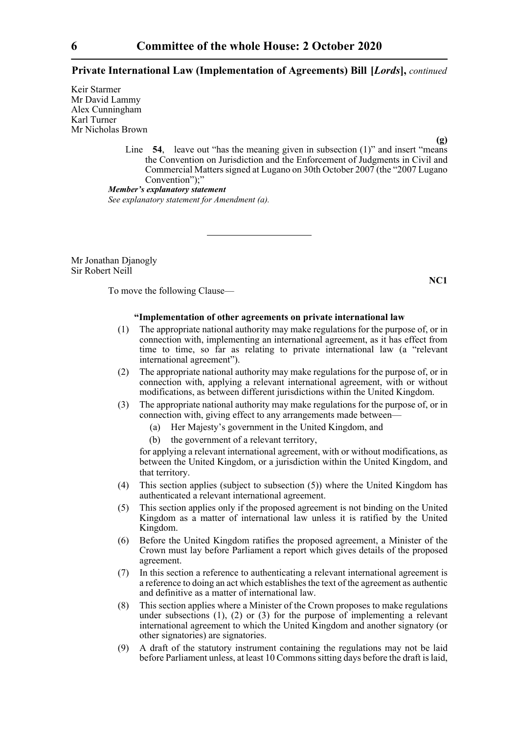Keir Starmer Mr David Lammy Alex Cunningham Karl Turner Mr Nicholas Brown

**(g)**

Line **54**, leave out "has the meaning given in subsection (1)" and insert "means" the Convention on Jurisdiction and the Enforcement of Judgments in Civil and Commercial Matters signed at Lugano on 30th October 2007 (the "2007 Lugano Convention");"

*Member's explanatory statement See explanatory statement for Amendment (a).* 

Mr Jonathan Djanogly Sir Robert Neill

**NC1**

To move the following Clause—

#### **"Implementation of other agreements on private international law**

- (1) The appropriate national authority may make regulations for the purpose of, or in connection with, implementing an international agreement, as it has effect from time to time, so far as relating to private international law (a "relevant international agreement").
- (2) The appropriate national authority may make regulations for the purpose of, or in connection with, applying a relevant international agreement, with or without modifications, as between different jurisdictions within the United Kingdom.
- (3) The appropriate national authority may make regulations for the purpose of, or in connection with, giving effect to any arrangements made between—
	- (a) Her Majesty's government in the United Kingdom, and
	- (b) the government of a relevant territory,

for applying a relevant international agreement, with or without modifications, as between the United Kingdom, or a jurisdiction within the United Kingdom, and that territory.

- (4) This section applies (subject to subsection (5)) where the United Kingdom has authenticated a relevant international agreement.
- (5) This section applies only if the proposed agreement is not binding on the United Kingdom as a matter of international law unless it is ratified by the United Kingdom.
- (6) Before the United Kingdom ratifies the proposed agreement, a Minister of the Crown must lay before Parliament a report which gives details of the proposed agreement.
- (7) In this section a reference to authenticating a relevant international agreement is a reference to doing an act which establishes the text of the agreement as authentic and definitive as a matter of international law.
- (8) This section applies where a Minister of the Crown proposes to make regulations under subsections  $(1)$ ,  $(2)$  or  $(3)$  for the purpose of implementing a relevant international agreement to which the United Kingdom and another signatory (or other signatories) are signatories.
- (9) A draft of the statutory instrument containing the regulations may not be laid before Parliament unless, at least 10 Commons sitting days before the draft is laid,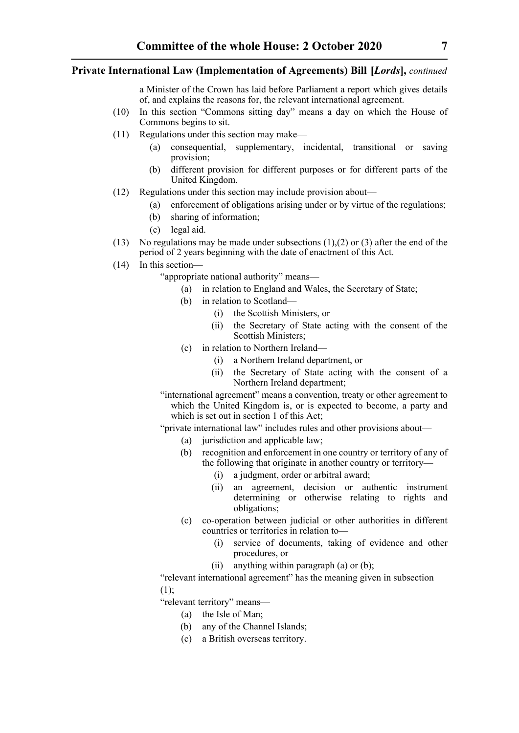a Minister of the Crown has laid before Parliament a report which gives details of, and explains the reasons for, the relevant international agreement.

- (10) In this section "Commons sitting day" means a day on which the House of Commons begins to sit.
- (11) Regulations under this section may make—
	- (a) consequential, supplementary, incidental, transitional or saving provision;
	- (b) different provision for different purposes or for different parts of the United Kingdom.
- (12) Regulations under this section may include provision about—
	- (a) enforcement of obligations arising under or by virtue of the regulations;
	- (b) sharing of information;
	- (c) legal aid.
- (13) No regulations may be made under subsections (1),(2) or (3) after the end of the period of 2 years beginning with the date of enactment of this Act.
- (14) In this section—

"appropriate national authority" means—

- (a) in relation to England and Wales, the Secretary of State;
- (b) in relation to Scotland—
	- (i) the Scottish Ministers, or
	- (ii) the Secretary of State acting with the consent of the Scottish Ministers;
- (c) in relation to Northern Ireland—
	- (i) a Northern Ireland department, or
	- (ii) the Secretary of State acting with the consent of a Northern Ireland department;
- "international agreement" means a convention, treaty or other agreement to which the United Kingdom is, or is expected to become, a party and which is set out in section 1 of this Act;

"private international law" includes rules and other provisions about—

- (a) jurisdiction and applicable law;
- (b) recognition and enforcement in one country or territory of any of the following that originate in another country or territory—
	- (i) a judgment, order or arbitral award;
	- (ii) an agreement, decision or authentic instrument determining or otherwise relating to rights and obligations;
- (c) co-operation between judicial or other authorities in different countries or territories in relation to—
	- (i) service of documents, taking of evidence and other procedures, or
	- (ii) anything within paragraph (a) or (b);

"relevant international agreement" has the meaning given in subsection (1);

"relevant territory" means—

- (a) the Isle of Man;
- (b) any of the Channel Islands;
- (c) a British overseas territory.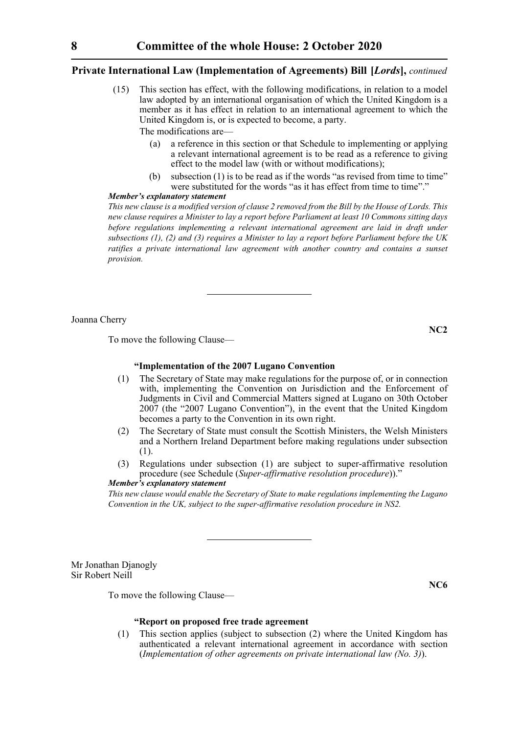(15) This section has effect, with the following modifications, in relation to a model law adopted by an international organisation of which the United Kingdom is a member as it has effect in relation to an international agreement to which the United Kingdom is, or is expected to become, a party.

The modifications are—

- (a) a reference in this section or that Schedule to implementing or applying a relevant international agreement is to be read as a reference to giving effect to the model law (with or without modifications);
- (b) subsection (1) is to be read as if the words "as revised from time to time" were substituted for the words "as it has effect from time to time"."

## *Member's explanatory statement*

*This new clause is a modified version of clause 2 removed from the Bill by the House of Lords. This new clause requires a Minister to lay a report before Parliament at least 10 Commons sitting days before regulations implementing a relevant international agreement are laid in draft under subsections (1), (2) and (3) requires a Minister to lay a report before Parliament before the UK ratifies a private international law agreement with another country and contains a sunset provision.*

Joanna Cherry

To move the following Clause—

**"Implementation of the 2007 Lugano Convention**

- (1) The Secretary of State may make regulations for the purpose of, or in connection with, implementing the Convention on Jurisdiction and the Enforcement of Judgments in Civil and Commercial Matters signed at Lugano on 30th October 2007 (the "2007 Lugano Convention"), in the event that the United Kingdom becomes a party to the Convention in its own right.
- (2) The Secretary of State must consult the Scottish Ministers, the Welsh Ministers and a Northern Ireland Department before making regulations under subsection (1).
- (3) Regulations under subsection (1) are subject to super-affirmative resolution procedure (see Schedule (*Super-affirmative resolution procedure*))."

## *Member's explanatory statement*

*This new clause would enable the Secretary of State to make regulations implementing the Lugano Convention in the UK, subject to the super-affirmative resolution procedure in NS2.*

Mr Jonathan Djanogly Sir Robert Neill

**NC6**

To move the following Clause—

## **"Report on proposed free trade agreement**

(1) This section applies (subject to subsection (2) where the United Kingdom has authenticated a relevant international agreement in accordance with section (*Implementation of other agreements on private international law (No. 3)*).

**NC2**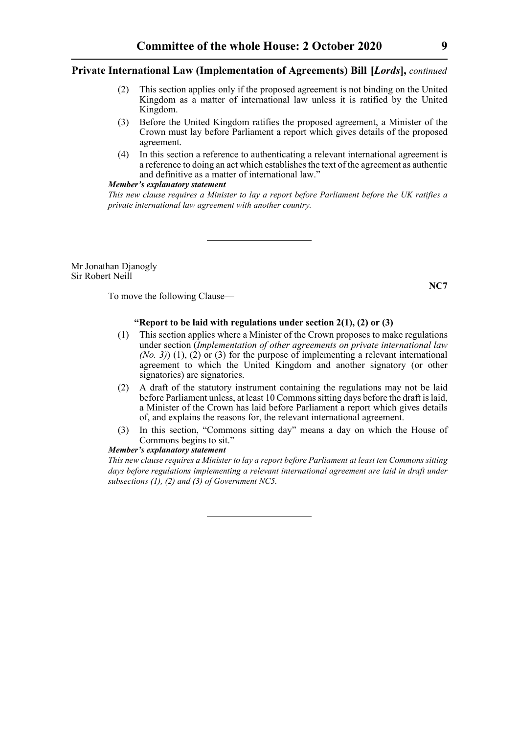- (2) This section applies only if the proposed agreement is not binding on the United Kingdom as a matter of international law unless it is ratified by the United Kingdom.
- (3) Before the United Kingdom ratifies the proposed agreement, a Minister of the Crown must lay before Parliament a report which gives details of the proposed agreement.
- (4) In this section a reference to authenticating a relevant international agreement is a reference to doing an act which establishes the text of the agreement as authentic and definitive as a matter of international law."

#### *Member's explanatory statement*

*This new clause requires a Minister to lay a report before Parliament before the UK ratifies a private international law agreement with another country.*

Mr Jonathan Djanogly Sir Robert Neill

**NC7**

To move the following Clause—

## **"Report to be laid with regulations under section 2(1), (2) or (3)**

- (1) This section applies where a Minister of the Crown proposes to make regulations under section (*Implementation of other agreements on private international law (No. 3)*) (1), (2) or (3) for the purpose of implementing a relevant international agreement to which the United Kingdom and another signatory (or other signatories) are signatories.
- (2) A draft of the statutory instrument containing the regulations may not be laid before Parliament unless, at least 10 Commons sitting days before the draft is laid, a Minister of the Crown has laid before Parliament a report which gives details of, and explains the reasons for, the relevant international agreement.
- (3) In this section, "Commons sitting day" means a day on which the House of Commons begins to sit."

#### *Member's explanatory statement*

*This new clause requires a Minister to lay a report before Parliament at least ten Commons sitting days before regulations implementing a relevant international agreement are laid in draft under subsections (1), (2) and (3) of Government NC5.*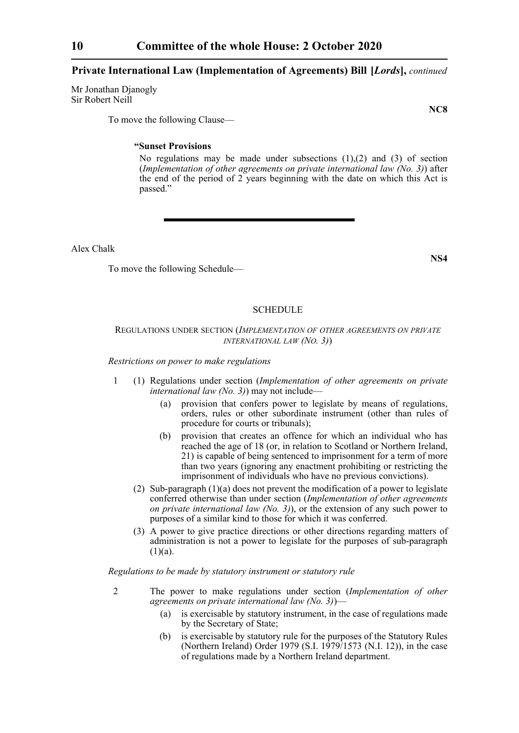Mr Jonathan Djanogly Sir Robert Neill

To move the following Clause—

## **"Sunset Provisions**

No regulations may be made under subsections  $(1)$ , $(2)$  and  $(3)$  of section (*Implementation of other agreements on private international law (No. 3)*) after the end of the period of 2 years beginning with the date on which this Act is passed."

Alex Chalk

To move the following Schedule—

### SCHEDULE

## REGULATIONS UNDER SECTION (*IMPLEMENTATION OF OTHER AGREEMENTS ON PRIVATE INTERNATIONAL LAW (NO. 3)*)

#### *Restrictions on power to make regulations*

- 1 (1) Regulations under section (*Implementation of other agreements on private international law (No. 3)*) may not include—
	- (a) provision that confers power to legislate by means of regulations, orders, rules or other subordinate instrument (other than rules of procedure for courts or tribunals);
	- (b) provision that creates an offence for which an individual who has reached the age of 18 (or, in relation to Scotland or Northern Ireland, 21) is capable of being sentenced to imprisonment for a term of more than two years (ignoring any enactment prohibiting or restricting the imprisonment of individuals who have no previous convictions).
	- (2) Sub-paragraph (1)(a) does not prevent the modification of a power to legislate conferred otherwise than under section (*Implementation of other agreements on private international law (No. 3)*), or the extension of any such power to purposes of a similar kind to those for which it was conferred.
	- (3) A power to give practice directions or other directions regarding matters of administration is not a power to legislate for the purposes of sub-paragraph  $(1)(a)$ .

*Regulations to be made by statutory instrument or statutory rule*

- 2 The power to make regulations under section (*Implementation of other agreements on private international law (No. 3)*)—
	- (a) is exercisable by statutory instrument, in the case of regulations made by the Secretary of State;
	- (b) is exercisable by statutory rule for the purposes of the Statutory Rules (Northern Ireland) Order 1979 (S.I. 1979/1573 (N.I. 12)), in the case of regulations made by a Northern Ireland department.

**NS4**

**NC8**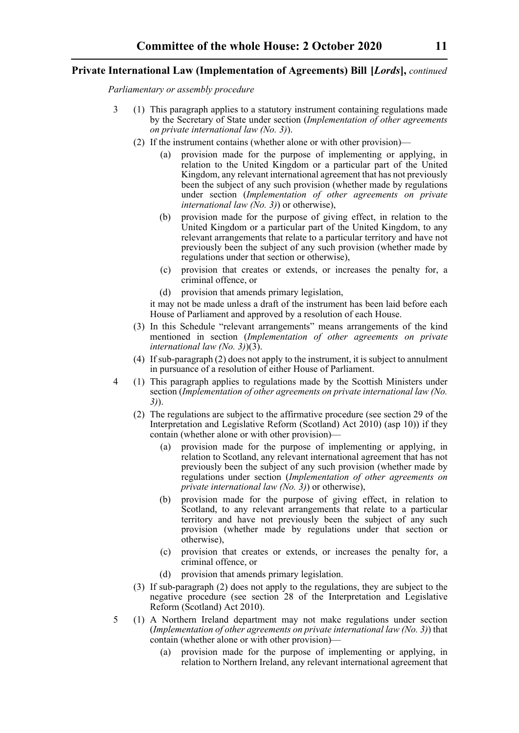*Parliamentary or assembly procedure*

- 3 (1) This paragraph applies to a statutory instrument containing regulations made by the Secretary of State under section (*Implementation of other agreements on private international law (No. 3)*).
	- (2) If the instrument contains (whether alone or with other provision)—
		- (a) provision made for the purpose of implementing or applying, in relation to the United Kingdom or a particular part of the United Kingdom, any relevant international agreement that has not previously been the subject of any such provision (whether made by regulations under section (*Implementation of other agreements on private international law (No. 3)*) or otherwise),
		- (b) provision made for the purpose of giving effect, in relation to the United Kingdom or a particular part of the United Kingdom, to any relevant arrangements that relate to a particular territory and have not previously been the subject of any such provision (whether made by regulations under that section or otherwise),
		- (c) provision that creates or extends, or increases the penalty for, a criminal offence, or
		- (d) provision that amends primary legislation,

it may not be made unless a draft of the instrument has been laid before each House of Parliament and approved by a resolution of each House.

- (3) In this Schedule "relevant arrangements" means arrangements of the kind mentioned in section (*Implementation of other agreements on private international law (No. 3)*)(3).
- (4) If sub-paragraph (2) does not apply to the instrument, it is subject to annulment in pursuance of a resolution of either House of Parliament.
- 4 (1) This paragraph applies to regulations made by the Scottish Ministers under section (*Implementation of other agreements on private international law (No. 3)*).
	- (2) The regulations are subject to the affirmative procedure (see section 29 of the Interpretation and Legislative Reform (Scotland) Act 2010) (asp 10)) if they contain (whether alone or with other provision)—
		- (a) provision made for the purpose of implementing or applying, in relation to Scotland, any relevant international agreement that has not previously been the subject of any such provision (whether made by regulations under section (*Implementation of other agreements on private international law (No. 3)*) or otherwise),
		- (b) provision made for the purpose of giving effect, in relation to Scotland, to any relevant arrangements that relate to a particular territory and have not previously been the subject of any such provision (whether made by regulations under that section or otherwise),
		- (c) provision that creates or extends, or increases the penalty for, a criminal offence, or
		- (d) provision that amends primary legislation.
	- (3) If sub-paragraph (2) does not apply to the regulations, they are subject to the negative procedure (see section 28 of the Interpretation and Legislative Reform (Scotland) Act 2010).
- 5 (1) A Northern Ireland department may not make regulations under section (*Implementation of other agreements on private international law (No. 3)*) that contain (whether alone or with other provision)—
	- (a) provision made for the purpose of implementing or applying, in relation to Northern Ireland, any relevant international agreement that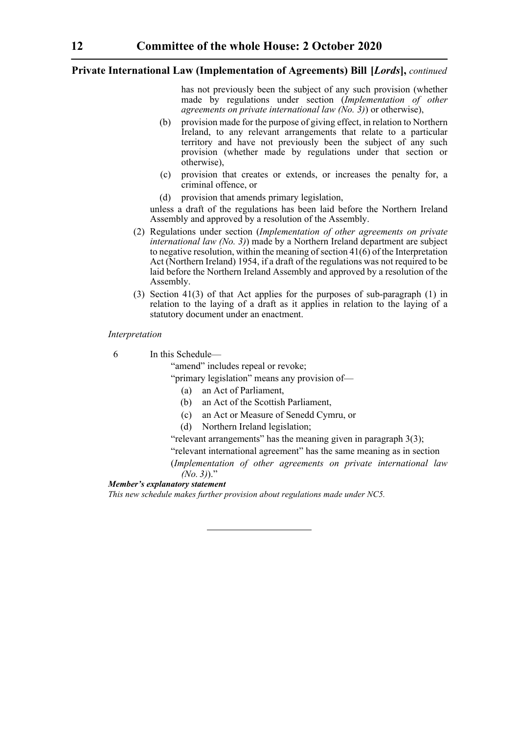has not previously been the subject of any such provision (whether made by regulations under section (*Implementation of other agreements on private international law (No. 3)*) or otherwise),

- (b) provision made for the purpose of giving effect, in relation to Northern Ireland, to any relevant arrangements that relate to a particular territory and have not previously been the subject of any such provision (whether made by regulations under that section or otherwise),
- (c) provision that creates or extends, or increases the penalty for, a criminal offence, or
- (d) provision that amends primary legislation,

unless a draft of the regulations has been laid before the Northern Ireland Assembly and approved by a resolution of the Assembly.

- (2) Regulations under section (*Implementation of other agreements on private international law (No. 3)*) made by a Northern Ireland department are subject to negative resolution, within the meaning of section  $41(6)$  of the Interpretation Act (Northern Ireland) 1954, if a draft of the regulations was not required to be laid before the Northern Ireland Assembly and approved by a resolution of the Assembly.
- (3) Section 41(3) of that Act applies for the purposes of sub-paragraph (1) in relation to the laying of a draft as it applies in relation to the laying of a statutory document under an enactment.

#### *Interpretation*

6 In this Schedule—

"amend" includes repeal or revoke;

"primary legislation" means any provision of—

- (a) an Act of Parliament,
- (b) an Act of the Scottish Parliament,
- (c) an Act or Measure of Senedd Cymru, or
- (d) Northern Ireland legislation;
- "relevant arrangements" has the meaning given in paragraph 3(3);

"relevant international agreement" has the same meaning as in section

(*Implementation of other agreements on private international law (No. 3)*)."

## *Member's explanatory statement*

*This new schedule makes further provision about regulations made under NC5.*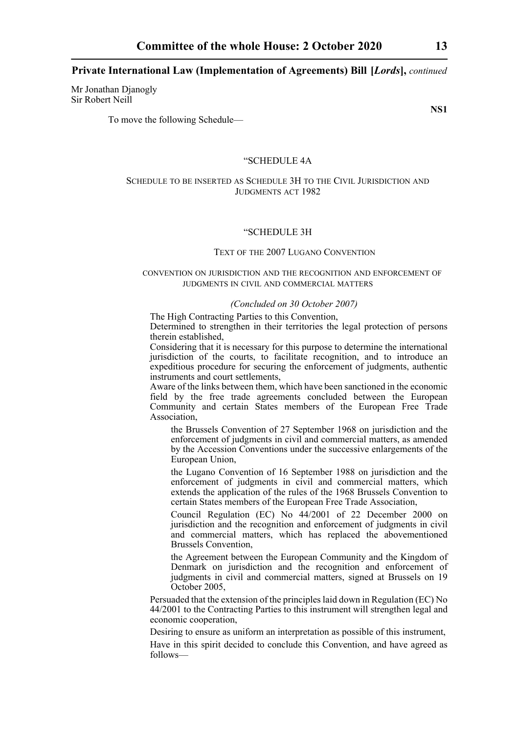Mr Jonathan Djanogly Sir Robert Neill

To move the following Schedule—

**NS1**

## "SCHEDULE 4A

## SCHEDULE TO BE INSERTED AS SCHEDULE 3H TO THE CIVIL JURISDICTION AND JUDGMENTS ACT 1982

#### "SCHEDULE 3H

#### TEXT OF THE 2007 LUGANO CONVENTION

## CONVENTION ON JURISDICTION AND THE RECOGNITION AND ENFORCEMENT OF JUDGMENTS IN CIVIL AND COMMERCIAL MATTERS

## *(Concluded on 30 October 2007)*

The High Contracting Parties to this Convention,

Determined to strengthen in their territories the legal protection of persons therein established,

Considering that it is necessary for this purpose to determine the international jurisdiction of the courts, to facilitate recognition, and to introduce an expeditious procedure for securing the enforcement of judgments, authentic instruments and court settlements,

Aware of the links between them, which have been sanctioned in the economic field by the free trade agreements concluded between the European Community and certain States members of the European Free Trade Association,

 the Brussels Convention of 27 September 1968 on jurisdiction and the enforcement of judgments in civil and commercial matters, as amended by the Accession Conventions under the successive enlargements of the European Union,

 the Lugano Convention of 16 September 1988 on jurisdiction and the enforcement of judgments in civil and commercial matters, which extends the application of the rules of the 1968 Brussels Convention to certain States members of the European Free Trade Association,

 Council Regulation (EC) No 44/2001 of 22 December 2000 on jurisdiction and the recognition and enforcement of judgments in civil and commercial matters, which has replaced the abovementioned Brussels Convention,

 the Agreement between the European Community and the Kingdom of Denmark on jurisdiction and the recognition and enforcement of judgments in civil and commercial matters, signed at Brussels on 19 October 2005,

Persuaded that the extension of the principles laid down in Regulation (EC) No 44/2001 to the Contracting Parties to this instrument will strengthen legal and economic cooperation,

Desiring to ensure as uniform an interpretation as possible of this instrument, Have in this spirit decided to conclude this Convention, and have agreed as follows—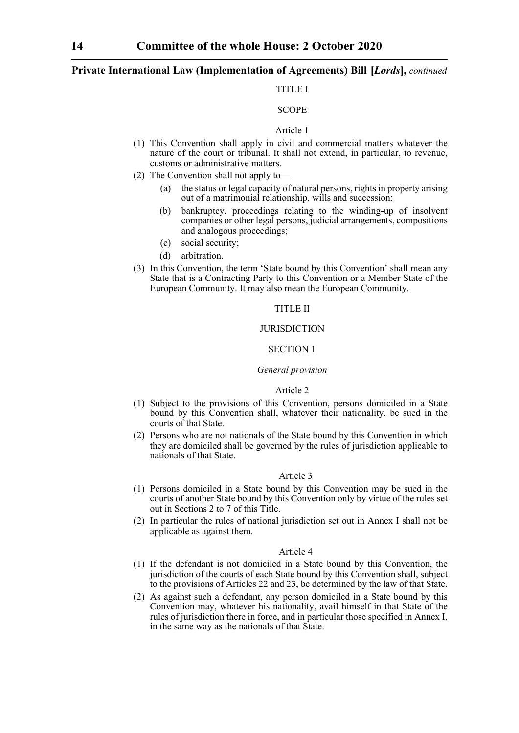## TITLE I

## **SCOPE**

#### Article 1

- (1) This Convention shall apply in civil and commercial matters whatever the nature of the court or tribunal. It shall not extend, in particular, to revenue, customs or administrative matters.
- (2) The Convention shall not apply to—
	- (a) the status or legal capacity of natural persons, rights in property arising out of a matrimonial relationship, wills and succession;
	- (b) bankruptcy, proceedings relating to the winding-up of insolvent companies or other legal persons, judicial arrangements, compositions and analogous proceedings;
	- (c) social security;
	- (d) arbitration.
- (3) In this Convention, the term 'State bound by this Convention' shall mean any State that is a Contracting Party to this Convention or a Member State of the European Community. It may also mean the European Community.

## TITLE II

#### **JURISDICTION**

## SECTION 1

#### *General provision*

#### Article 2

- (1) Subject to the provisions of this Convention, persons domiciled in a State bound by this Convention shall, whatever their nationality, be sued in the courts of that State.
- (2) Persons who are not nationals of the State bound by this Convention in which they are domiciled shall be governed by the rules of jurisdiction applicable to nationals of that State.

#### Article 3

- (1) Persons domiciled in a State bound by this Convention may be sued in the courts of another State bound by this Convention only by virtue of the rules set out in Sections 2 to 7 of this Title.
- (2) In particular the rules of national jurisdiction set out in Annex I shall not be applicable as against them.

- (1) If the defendant is not domiciled in a State bound by this Convention, the jurisdiction of the courts of each State bound by this Convention shall, subject to the provisions of Articles 22 and 23, be determined by the law of that State.
- (2) As against such a defendant, any person domiciled in a State bound by this Convention may, whatever his nationality, avail himself in that State of the rules of jurisdiction there in force, and in particular those specified in Annex I, in the same way as the nationals of that State.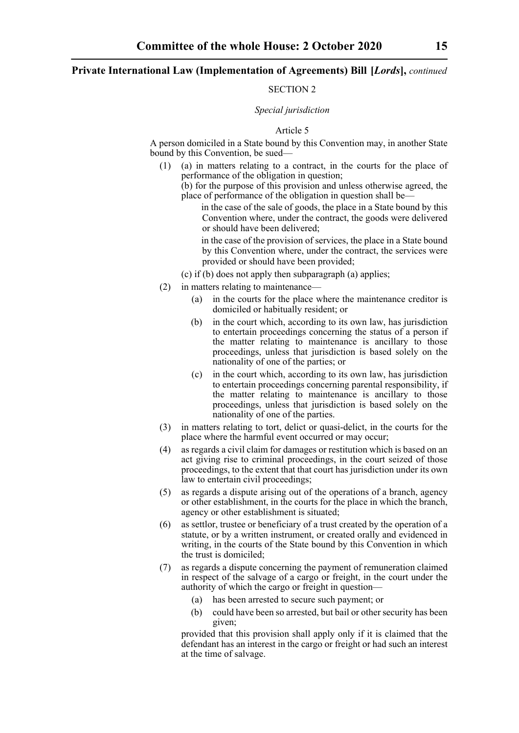## SECTION 2

## *Special jurisdiction*

## Article 5

A person domiciled in a State bound by this Convention may, in another State bound by this Convention, be sued—

- (1) (a) in matters relating to a contract, in the courts for the place of performance of the obligation in question;
	- (b) for the purpose of this provision and unless otherwise agreed, the place of performance of the obligation in question shall be—

in the case of the sale of goods, the place in a State bound by this Convention where, under the contract, the goods were delivered or should have been delivered;

in the case of the provision of services, the place in a State bound by this Convention where, under the contract, the services were provided or should have been provided;

- (c) if (b) does not apply then subparagraph (a) applies;
- (2) in matters relating to maintenance—
	- (a) in the courts for the place where the maintenance creditor is domiciled or habitually resident; or
	- (b) in the court which, according to its own law, has jurisdiction to entertain proceedings concerning the status of a person if the matter relating to maintenance is ancillary to those proceedings, unless that jurisdiction is based solely on the nationality of one of the parties; or
	- (c) in the court which, according to its own law, has jurisdiction to entertain proceedings concerning parental responsibility, if the matter relating to maintenance is ancillary to those proceedings, unless that jurisdiction is based solely on the nationality of one of the parties.
- (3) in matters relating to tort, delict or quasi-delict, in the courts for the place where the harmful event occurred or may occur;
- (4) as regards a civil claim for damages or restitution which is based on an act giving rise to criminal proceedings, in the court seized of those proceedings, to the extent that that court has jurisdiction under its own law to entertain civil proceedings;
- (5) as regards a dispute arising out of the operations of a branch, agency or other establishment, in the courts for the place in which the branch, agency or other establishment is situated;
- (6) as settlor, trustee or beneficiary of a trust created by the operation of a statute, or by a written instrument, or created orally and evidenced in writing, in the courts of the State bound by this Convention in which the trust is domiciled;
- (7) as regards a dispute concerning the payment of remuneration claimed in respect of the salvage of a cargo or freight, in the court under the authority of which the cargo or freight in question—
	- (a) has been arrested to secure such payment; or
	- (b) could have been so arrested, but bail or other security has been given;

provided that this provision shall apply only if it is claimed that the defendant has an interest in the cargo or freight or had such an interest at the time of salvage.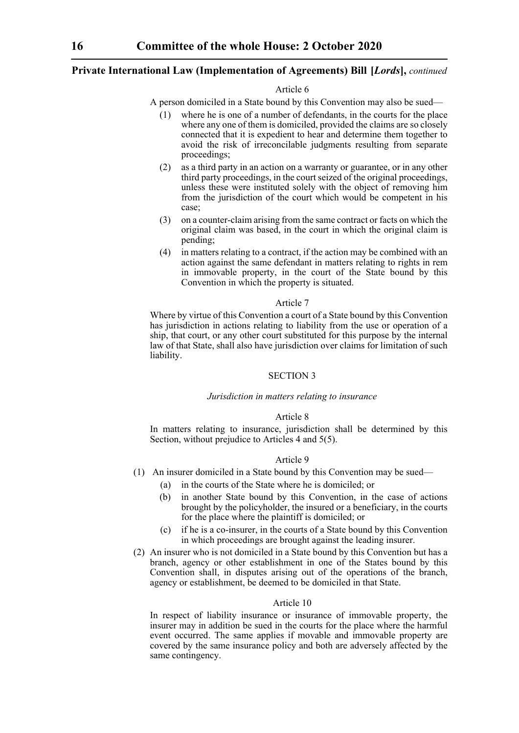## Article 6

- A person domiciled in a State bound by this Convention may also be sued—
	- (1) where he is one of a number of defendants, in the courts for the place where any one of them is domiciled, provided the claims are so closely connected that it is expedient to hear and determine them together to avoid the risk of irreconcilable judgments resulting from separate proceedings;
	- (2) as a third party in an action on a warranty or guarantee, or in any other third party proceedings, in the court seized of the original proceedings, unless these were instituted solely with the object of removing him from the jurisdiction of the court which would be competent in his case;
	- (3) on a counter-claim arising from the same contract or facts on which the original claim was based, in the court in which the original claim is pending;
	- (4) in matters relating to a contract, if the action may be combined with an action against the same defendant in matters relating to rights in rem in immovable property, in the court of the State bound by this Convention in which the property is situated.

#### Article 7

Where by virtue of this Convention a court of a State bound by this Convention has jurisdiction in actions relating to liability from the use or operation of a ship, that court, or any other court substituted for this purpose by the internal law of that State, shall also have jurisdiction over claims for limitation of such liability.

#### SECTION 3

#### *Jurisdiction in matters relating to insurance*

#### Article 8

In matters relating to insurance, jurisdiction shall be determined by this Section, without prejudice to Articles 4 and 5(5).

## Article 9

- (1) An insurer domiciled in a State bound by this Convention may be sued—
	- (a) in the courts of the State where he is domiciled; or
	- (b) in another State bound by this Convention, in the case of actions brought by the policyholder, the insured or a beneficiary, in the courts for the place where the plaintiff is domiciled; or
	- (c) if he is a co-insurer, in the courts of a State bound by this Convention in which proceedings are brought against the leading insurer.
- (2) An insurer who is not domiciled in a State bound by this Convention but has a branch, agency or other establishment in one of the States bound by this Convention shall, in disputes arising out of the operations of the branch, agency or establishment, be deemed to be domiciled in that State.

#### Article 10

In respect of liability insurance or insurance of immovable property, the insurer may in addition be sued in the courts for the place where the harmful event occurred. The same applies if movable and immovable property are covered by the same insurance policy and both are adversely affected by the same contingency.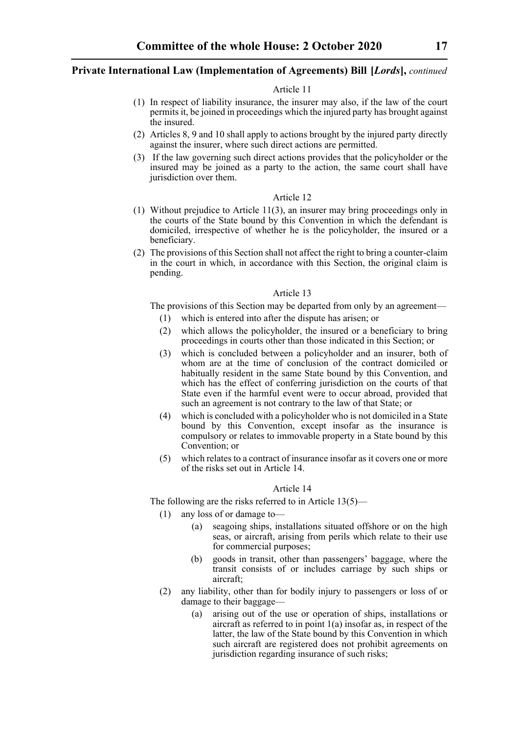#### Article 11

- (1) In respect of liability insurance, the insurer may also, if the law of the court permits it, be joined in proceedings which the injured party has brought against the insured.
- (2) Articles 8, 9 and 10 shall apply to actions brought by the injured party directly against the insurer, where such direct actions are permitted.
- (3) If the law governing such direct actions provides that the policyholder or the insured may be joined as a party to the action, the same court shall have jurisdiction over them.

## Article 12

- (1) Without prejudice to Article 11(3), an insurer may bring proceedings only in the courts of the State bound by this Convention in which the defendant is domiciled, irrespective of whether he is the policyholder, the insured or a beneficiary.
- (2) The provisions of this Section shall not affect the right to bring a counter-claim in the court in which, in accordance with this Section, the original claim is pending.

## Article 13

The provisions of this Section may be departed from only by an agreement—

- (1) which is entered into after the dispute has arisen; or
- (2) which allows the policyholder, the insured or a beneficiary to bring proceedings in courts other than those indicated in this Section; or
- (3) which is concluded between a policyholder and an insurer, both of whom are at the time of conclusion of the contract domiciled or habitually resident in the same State bound by this Convention, and which has the effect of conferring jurisdiction on the courts of that State even if the harmful event were to occur abroad, provided that such an agreement is not contrary to the law of that State; or
- (4) which is concluded with a policyholder who is not domiciled in a State bound by this Convention, except insofar as the insurance is compulsory or relates to immovable property in a State bound by this Convention; or
- (5) which relates to a contract of insurance insofar as it covers one or more of the risks set out in Article 14.

## Article 14

The following are the risks referred to in Article 13(5)—

- (1) any loss of or damage to—
	- (a) seagoing ships, installations situated offshore or on the high seas, or aircraft, arising from perils which relate to their use for commercial purposes;
	- (b) goods in transit, other than passengers' baggage, where the transit consists of or includes carriage by such ships or aircraft;
- (2) any liability, other than for bodily injury to passengers or loss of or damage to their baggage—
	- (a) arising out of the use or operation of ships, installations or aircraft as referred to in point 1(a) insofar as, in respect of the latter, the law of the State bound by this Convention in which such aircraft are registered does not prohibit agreements on jurisdiction regarding insurance of such risks;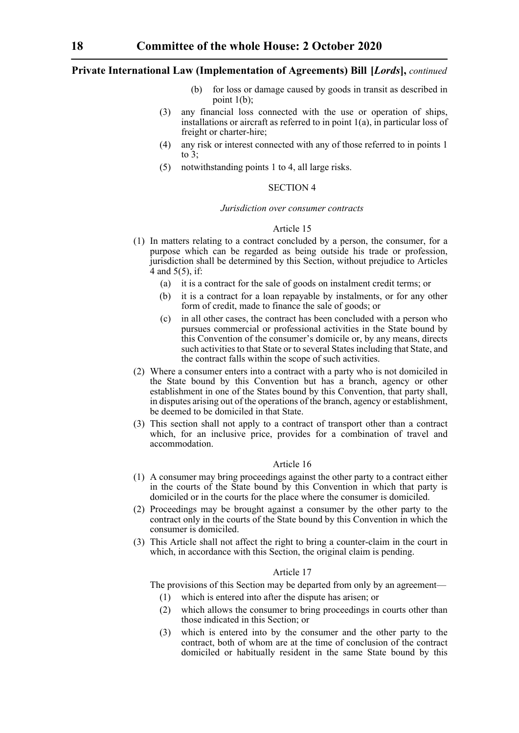- (b) for loss or damage caused by goods in transit as described in point 1(b);
- (3) any financial loss connected with the use or operation of ships, installations or aircraft as referred to in point 1(a), in particular loss of freight or charter-hire;
- (4) any risk or interest connected with any of those referred to in points 1 to 3;
- (5) notwithstanding points 1 to 4, all large risks.

## SECTION 4

#### *Jurisdiction over consumer contracts*

#### Article 15

- (1) In matters relating to a contract concluded by a person, the consumer, for a purpose which can be regarded as being outside his trade or profession, jurisdiction shall be determined by this Section, without prejudice to Articles 4 and 5(5), if:
	- (a) it is a contract for the sale of goods on instalment credit terms; or
	- (b) it is a contract for a loan repayable by instalments, or for any other form of credit, made to finance the sale of goods; or
	- (c) in all other cases, the contract has been concluded with a person who pursues commercial or professional activities in the State bound by this Convention of the consumer's domicile or, by any means, directs such activities to that State or to several States including that State, and the contract falls within the scope of such activities.
- (2) Where a consumer enters into a contract with a party who is not domiciled in the State bound by this Convention but has a branch, agency or other establishment in one of the States bound by this Convention, that party shall, in disputes arising out of the operations of the branch, agency or establishment, be deemed to be domiciled in that State.
- (3) This section shall not apply to a contract of transport other than a contract which, for an inclusive price, provides for a combination of travel and accommodation.

## Article 16

- (1) A consumer may bring proceedings against the other party to a contract either in the courts of the State bound by this Convention in which that party is domiciled or in the courts for the place where the consumer is domiciled.
- (2) Proceedings may be brought against a consumer by the other party to the contract only in the courts of the State bound by this Convention in which the consumer is domiciled.
- (3) This Article shall not affect the right to bring a counter-claim in the court in which, in accordance with this Section, the original claim is pending.

## Article 17

The provisions of this Section may be departed from only by an agreement—

- (1) which is entered into after the dispute has arisen; or
- (2) which allows the consumer to bring proceedings in courts other than those indicated in this Section; or
- (3) which is entered into by the consumer and the other party to the contract, both of whom are at the time of conclusion of the contract domiciled or habitually resident in the same State bound by this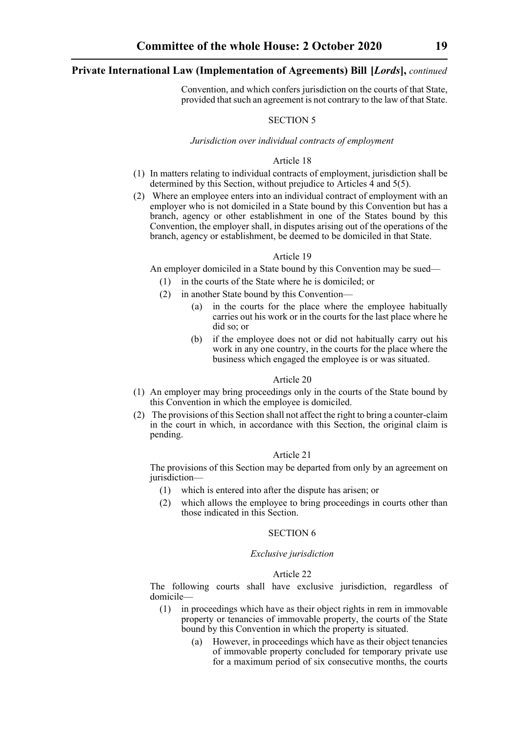Convention, and which confers jurisdiction on the courts of that State, provided that such an agreement is not contrary to the law of that State.

## SECTION 5

## *Jurisdiction over individual contracts of employment*

## Article 18

- (1) In matters relating to individual contracts of employment, jurisdiction shall be determined by this Section, without prejudice to Articles 4 and 5(5).
- (2) Where an employee enters into an individual contract of employment with an employer who is not domiciled in a State bound by this Convention but has a branch, agency or other establishment in one of the States bound by this Convention, the employer shall, in disputes arising out of the operations of the branch, agency or establishment, be deemed to be domiciled in that State.

#### Article 19

An employer domiciled in a State bound by this Convention may be sued—

- (1) in the courts of the State where he is domiciled; or
- (2) in another State bound by this Convention—
	- (a) in the courts for the place where the employee habitually carries out his work or in the courts for the last place where he did so; or
	- (b) if the employee does not or did not habitually carry out his work in any one country, in the courts for the place where the business which engaged the employee is or was situated.

## Article 20

- (1) An employer may bring proceedings only in the courts of the State bound by this Convention in which the employee is domiciled.
- (2) The provisions of this Section shall not affect the right to bring a counter-claim in the court in which, in accordance with this Section, the original claim is pending.

## Article 21

The provisions of this Section may be departed from only by an agreement on jurisdiction—

- (1) which is entered into after the dispute has arisen; or
- (2) which allows the employee to bring proceedings in courts other than those indicated in this Section.

#### SECTION 6

#### *Exclusive jurisdiction*

#### Article 22

The following courts shall have exclusive jurisdiction, regardless of domicile—

- (1) in proceedings which have as their object rights in rem in immovable property or tenancies of immovable property, the courts of the State bound by this Convention in which the property is situated.
	- (a) However, in proceedings which have as their object tenancies of immovable property concluded for temporary private use for a maximum period of six consecutive months, the courts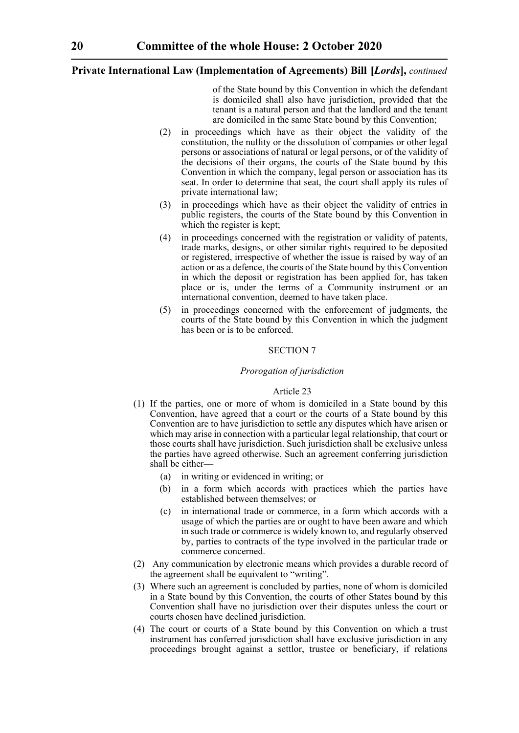of the State bound by this Convention in which the defendant is domiciled shall also have jurisdiction, provided that the tenant is a natural person and that the landlord and the tenant are domiciled in the same State bound by this Convention;

- (2) in proceedings which have as their object the validity of the constitution, the nullity or the dissolution of companies or other legal persons or associations of natural or legal persons, or of the validity of the decisions of their organs, the courts of the State bound by this Convention in which the company, legal person or association has its seat. In order to determine that seat, the court shall apply its rules of private international law;
- (3) in proceedings which have as their object the validity of entries in public registers, the courts of the State bound by this Convention in which the register is kept;
- (4) in proceedings concerned with the registration or validity of patents, trade marks, designs, or other similar rights required to be deposited or registered, irrespective of whether the issue is raised by way of an action or as a defence, the courts of the State bound by this Convention in which the deposit or registration has been applied for, has taken place or is, under the terms of a Community instrument or an international convention, deemed to have taken place.
- (5) in proceedings concerned with the enforcement of judgments, the courts of the State bound by this Convention in which the judgment has been or is to be enforced.

## SECTION 7

#### *Prorogation of jurisdiction*

- (1) If the parties, one or more of whom is domiciled in a State bound by this Convention, have agreed that a court or the courts of a State bound by this Convention are to have jurisdiction to settle any disputes which have arisen or which may arise in connection with a particular legal relationship, that court or those courts shall have jurisdiction. Such jurisdiction shall be exclusive unless the parties have agreed otherwise. Such an agreement conferring jurisdiction shall be either—
	- (a) in writing or evidenced in writing; or
	- (b) in a form which accords with practices which the parties have established between themselves; or
	- (c) in international trade or commerce, in a form which accords with a usage of which the parties are or ought to have been aware and which in such trade or commerce is widely known to, and regularly observed by, parties to contracts of the type involved in the particular trade or commerce concerned.
- (2) Any communication by electronic means which provides a durable record of the agreement shall be equivalent to "writing".
- (3) Where such an agreement is concluded by parties, none of whom is domiciled in a State bound by this Convention, the courts of other States bound by this Convention shall have no jurisdiction over their disputes unless the court or courts chosen have declined jurisdiction.
- (4) The court or courts of a State bound by this Convention on which a trust instrument has conferred jurisdiction shall have exclusive jurisdiction in any proceedings brought against a settlor, trustee or beneficiary, if relations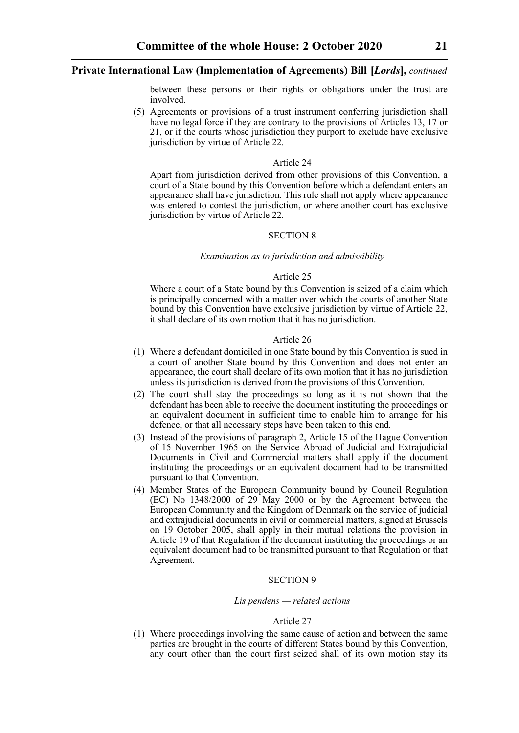between these persons or their rights or obligations under the trust are involved.

(5) Agreements or provisions of a trust instrument conferring jurisdiction shall have no legal force if they are contrary to the provisions of Articles 13, 17 or 21, or if the courts whose jurisdiction they purport to exclude have exclusive jurisdiction by virtue of Article 22.

## Article 24

Apart from jurisdiction derived from other provisions of this Convention, a court of a State bound by this Convention before which a defendant enters an appearance shall have jurisdiction. This rule shall not apply where appearance was entered to contest the jurisdiction, or where another court has exclusive jurisdiction by virtue of Article 22.

## SECTION 8

#### *Examination as to jurisdiction and admissibility*

### Article 25

Where a court of a State bound by this Convention is seized of a claim which is principally concerned with a matter over which the courts of another State bound by this Convention have exclusive jurisdiction by virtue of Article 22, it shall declare of its own motion that it has no jurisdiction.

## Article 26

- (1) Where a defendant domiciled in one State bound by this Convention is sued in a court of another State bound by this Convention and does not enter an appearance, the court shall declare of its own motion that it has no jurisdiction unless its jurisdiction is derived from the provisions of this Convention.
- (2) The court shall stay the proceedings so long as it is not shown that the defendant has been able to receive the document instituting the proceedings or an equivalent document in sufficient time to enable him to arrange for his defence, or that all necessary steps have been taken to this end.
- (3) Instead of the provisions of paragraph 2, Article 15 of the Hague Convention of 15 November 1965 on the Service Abroad of Judicial and Extrajudicial Documents in Civil and Commercial matters shall apply if the document instituting the proceedings or an equivalent document had to be transmitted pursuant to that Convention.
- (4) Member States of the European Community bound by Council Regulation (EC) No 1348/2000 of 29 May 2000 or by the Agreement between the European Community and the Kingdom of Denmark on the service of judicial and extrajudicial documents in civil or commercial matters, signed at Brussels on 19 October 2005, shall apply in their mutual relations the provision in Article 19 of that Regulation if the document instituting the proceedings or an equivalent document had to be transmitted pursuant to that Regulation or that Agreement.

## SECTION 9

#### *Lis pendens — related actions*

#### Article 27

(1) Where proceedings involving the same cause of action and between the same parties are brought in the courts of different States bound by this Convention, any court other than the court first seized shall of its own motion stay its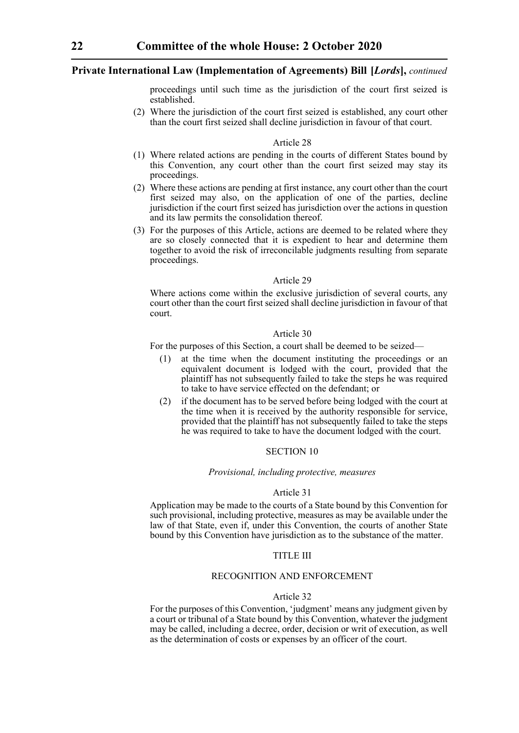proceedings until such time as the jurisdiction of the court first seized is established.

(2) Where the jurisdiction of the court first seized is established, any court other than the court first seized shall decline jurisdiction in favour of that court.

### Article 28

- (1) Where related actions are pending in the courts of different States bound by this Convention, any court other than the court first seized may stay its proceedings.
- (2) Where these actions are pending at first instance, any court other than the court first seized may also, on the application of one of the parties, decline jurisdiction if the court first seized has jurisdiction over the actions in question and its law permits the consolidation thereof.
- (3) For the purposes of this Article, actions are deemed to be related where they are so closely connected that it is expedient to hear and determine them together to avoid the risk of irreconcilable judgments resulting from separate proceedings.

#### Article 29

Where actions come within the exclusive jurisdiction of several courts, any court other than the court first seized shall decline jurisdiction in favour of that court.

## Article 30

For the purposes of this Section, a court shall be deemed to be seized—

- (1) at the time when the document instituting the proceedings or an equivalent document is lodged with the court, provided that the plaintiff has not subsequently failed to take the steps he was required to take to have service effected on the defendant; or
- (2) if the document has to be served before being lodged with the court at the time when it is received by the authority responsible for service, provided that the plaintiff has not subsequently failed to take the steps he was required to take to have the document lodged with the court.

## SECTION 10

## *Provisional, including protective, measures*

#### Article 31

Application may be made to the courts of a State bound by this Convention for such provisional, including protective, measures as may be available under the law of that State, even if, under this Convention, the courts of another State bound by this Convention have jurisdiction as to the substance of the matter.

## TITLE III

#### RECOGNITION AND ENFORCEMENT

## Article 32

For the purposes of this Convention, 'judgment' means any judgment given by a court or tribunal of a State bound by this Convention, whatever the judgment may be called, including a decree, order, decision or writ of execution, as well as the determination of costs or expenses by an officer of the court.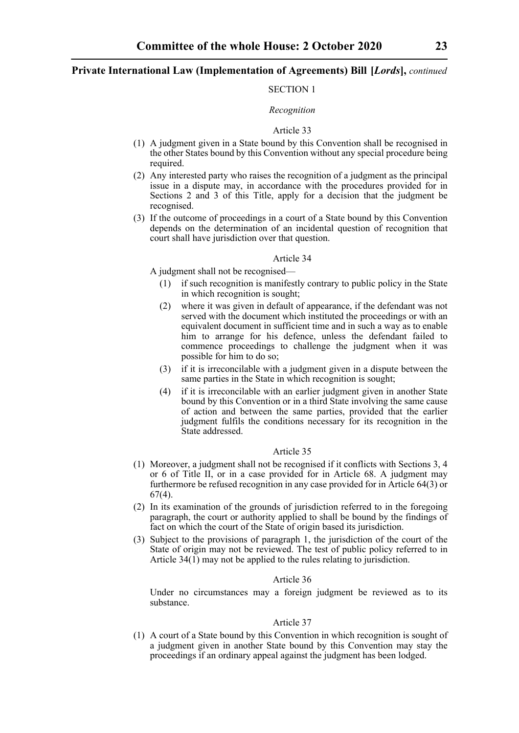## SECTION 1

## *Recognition*

#### Article 33

- (1) A judgment given in a State bound by this Convention shall be recognised in the other States bound by this Convention without any special procedure being required.
- (2) Any interested party who raises the recognition of a judgment as the principal issue in a dispute may, in accordance with the procedures provided for in Sections 2 and 3 of this Title, apply for a decision that the judgment be recognised.
- (3) If the outcome of proceedings in a court of a State bound by this Convention depends on the determination of an incidental question of recognition that court shall have jurisdiction over that question.

#### Article 34

A judgment shall not be recognised—

- (1) if such recognition is manifestly contrary to public policy in the State in which recognition is sought;
- (2) where it was given in default of appearance, if the defendant was not served with the document which instituted the proceedings or with an equivalent document in sufficient time and in such a way as to enable him to arrange for his defence, unless the defendant failed to commence proceedings to challenge the judgment when it was possible for him to do so;
- (3) if it is irreconcilable with a judgment given in a dispute between the same parties in the State in which recognition is sought;
- (4) if it is irreconcilable with an earlier judgment given in another State bound by this Convention or in a third State involving the same cause of action and between the same parties, provided that the earlier judgment fulfils the conditions necessary for its recognition in the State addressed.

## Article 35

- (1) Moreover, a judgment shall not be recognised if it conflicts with Sections 3, 4 or 6 of Title II, or in a case provided for in Article 68. A judgment may furthermore be refused recognition in any case provided for in Article 64(3) or 67(4).
- (2) In its examination of the grounds of jurisdiction referred to in the foregoing paragraph, the court or authority applied to shall be bound by the findings of fact on which the court of the State of origin based its jurisdiction.
- (3) Subject to the provisions of paragraph 1, the jurisdiction of the court of the State of origin may not be reviewed. The test of public policy referred to in Article 34(1) may not be applied to the rules relating to jurisdiction.

## Article 36

Under no circumstances may a foreign judgment be reviewed as to its substance.

## Article 37

(1) A court of a State bound by this Convention in which recognition is sought of a judgment given in another State bound by this Convention may stay the proceedings if an ordinary appeal against the judgment has been lodged.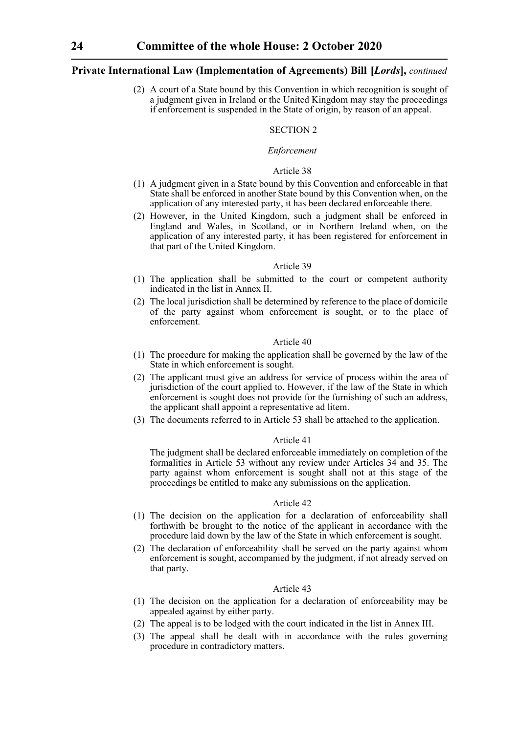(2) A court of a State bound by this Convention in which recognition is sought of a judgment given in Ireland or the United Kingdom may stay the proceedings if enforcement is suspended in the State of origin, by reason of an appeal.

## SECTION 2

#### *Enforcement*

## Article 38

- (1) A judgment given in a State bound by this Convention and enforceable in that State shall be enforced in another State bound by this Convention when, on the application of any interested party, it has been declared enforceable there.
- (2) However, in the United Kingdom, such a judgment shall be enforced in England and Wales, in Scotland, or in Northern Ireland when, on the application of any interested party, it has been registered for enforcement in that part of the United Kingdom.

#### Article 39

- (1) The application shall be submitted to the court or competent authority indicated in the list in Annex II.
- (2) The local jurisdiction shall be determined by reference to the place of domicile of the party against whom enforcement is sought, or to the place of enforcement.

## Article 40

- (1) The procedure for making the application shall be governed by the law of the State in which enforcement is sought.
- (2) The applicant must give an address for service of process within the area of jurisdiction of the court applied to. However, if the law of the State in which enforcement is sought does not provide for the furnishing of such an address, the applicant shall appoint a representative ad litem.
- (3) The documents referred to in Article 53 shall be attached to the application.

#### Article 41

The judgment shall be declared enforceable immediately on completion of the formalities in Article 53 without any review under Articles 34 and 35. The party against whom enforcement is sought shall not at this stage of the proceedings be entitled to make any submissions on the application.

#### Article 42

- (1) The decision on the application for a declaration of enforceability shall forthwith be brought to the notice of the applicant in accordance with the procedure laid down by the law of the State in which enforcement is sought.
- (2) The declaration of enforceability shall be served on the party against whom enforcement is sought, accompanied by the judgment, if not already served on that party.

- (1) The decision on the application for a declaration of enforceability may be appealed against by either party.
- (2) The appeal is to be lodged with the court indicated in the list in Annex III.
- (3) The appeal shall be dealt with in accordance with the rules governing procedure in contradictory matters.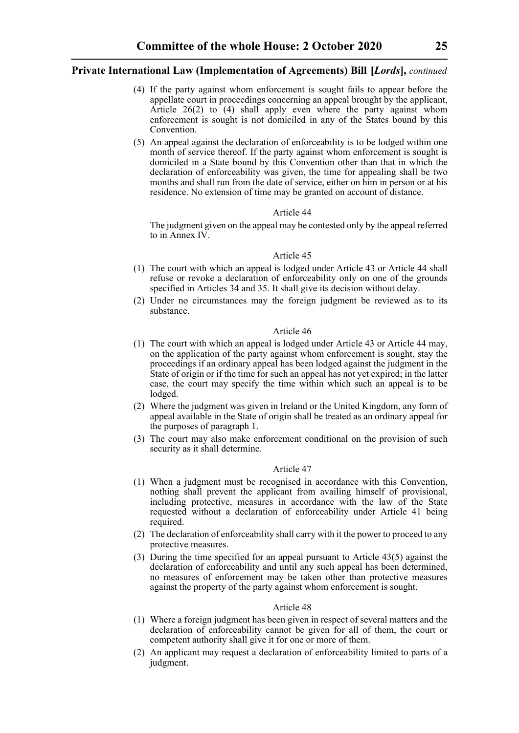- (4) If the party against whom enforcement is sought fails to appear before the appellate court in proceedings concerning an appeal brought by the applicant, Article  $26(2)$  to  $(4)$  shall apply even where the party against whom enforcement is sought is not domiciled in any of the States bound by this Convention.
- (5) An appeal against the declaration of enforceability is to be lodged within one month of service thereof. If the party against whom enforcement is sought is domiciled in a State bound by this Convention other than that in which the declaration of enforceability was given, the time for appealing shall be two months and shall run from the date of service, either on him in person or at his residence. No extension of time may be granted on account of distance.

## Article 44

The judgment given on the appeal may be contested only by the appeal referred to in Annex IV.

## Article 45

- (1) The court with which an appeal is lodged under Article 43 or Article 44 shall refuse or revoke a declaration of enforceability only on one of the grounds specified in Articles 34 and 35. It shall give its decision without delay.
- (2) Under no circumstances may the foreign judgment be reviewed as to its substance.

#### Article 46

- (1) The court with which an appeal is lodged under Article 43 or Article 44 may, on the application of the party against whom enforcement is sought, stay the proceedings if an ordinary appeal has been lodged against the judgment in the State of origin or if the time for such an appeal has not yet expired; in the latter case, the court may specify the time within which such an appeal is to be lodged.
- (2) Where the judgment was given in Ireland or the United Kingdom, any form of appeal available in the State of origin shall be treated as an ordinary appeal for the purposes of paragraph 1.
- (3) The court may also make enforcement conditional on the provision of such security as it shall determine.

## Article 47

- (1) When a judgment must be recognised in accordance with this Convention, nothing shall prevent the applicant from availing himself of provisional, including protective, measures in accordance with the law of the State requested without a declaration of enforceability under Article 41 being required.
- (2) The declaration of enforceability shall carry with it the power to proceed to any protective measures.
- (3) During the time specified for an appeal pursuant to Article 43(5) against the declaration of enforceability and until any such appeal has been determined, no measures of enforcement may be taken other than protective measures against the property of the party against whom enforcement is sought.

- (1) Where a foreign judgment has been given in respect of several matters and the declaration of enforceability cannot be given for all of them, the court or competent authority shall give it for one or more of them.
- (2) An applicant may request a declaration of enforceability limited to parts of a judgment.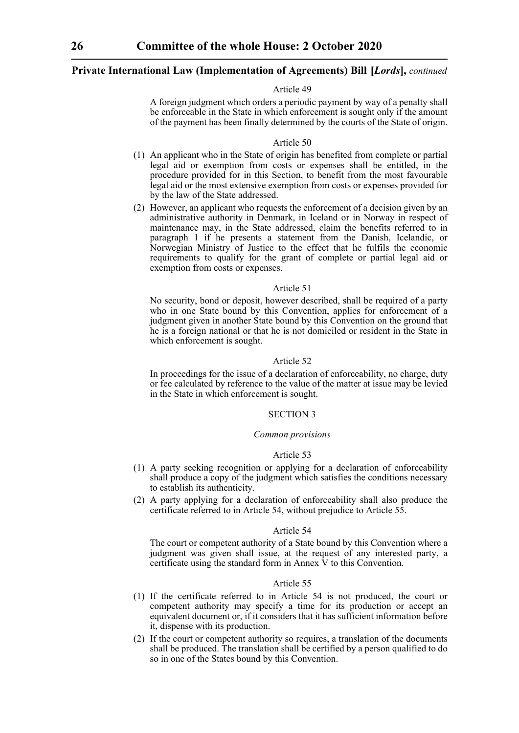#### Article 49

A foreign judgment which orders a periodic payment by way of a penalty shall be enforceable in the State in which enforcement is sought only if the amount of the payment has been finally determined by the courts of the State of origin.

#### Article 50

- (1) An applicant who in the State of origin has benefited from complete or partial legal aid or exemption from costs or expenses shall be entitled, in the procedure provided for in this Section, to benefit from the most favourable legal aid or the most extensive exemption from costs or expenses provided for by the law of the State addressed.
- (2) However, an applicant who requests the enforcement of a decision given by an administrative authority in Denmark, in Iceland or in Norway in respect of maintenance may, in the State addressed, claim the benefits referred to in paragraph 1 if he presents a statement from the Danish, Icelandic, or Norwegian Ministry of Justice to the effect that he fulfils the economic requirements to qualify for the grant of complete or partial legal aid or exemption from costs or expenses.

#### Article 51

No security, bond or deposit, however described, shall be required of a party who in one State bound by this Convention, applies for enforcement of a judgment given in another State bound by this Convention on the ground that he is a foreign national or that he is not domiciled or resident in the State in which enforcement is sought.

#### Article 52

In proceedings for the issue of a declaration of enforceability, no charge, duty or fee calculated by reference to the value of the matter at issue may be levied in the State in which enforcement is sought.

#### SECTION 3

#### *Common provisions*

## Article 53

- (1) A party seeking recognition or applying for a declaration of enforceability shall produce a copy of the judgment which satisfies the conditions necessary to establish its authenticity.
- (2) A party applying for a declaration of enforceability shall also produce the certificate referred to in Article 54, without prejudice to Article 55.

#### Article 54

The court or competent authority of a State bound by this Convention where a judgment was given shall issue, at the request of any interested party, a certificate using the standard form in Annex  $\bar{V}$  to this Convention.

- (1) If the certificate referred to in Article 54 is not produced, the court or competent authority may specify a time for its production or accept an equivalent document or, if it considers that it has sufficient information before it, dispense with its production.
- (2) If the court or competent authority so requires, a translation of the documents shall be produced. The translation shall be certified by a person qualified to do so in one of the States bound by this Convention.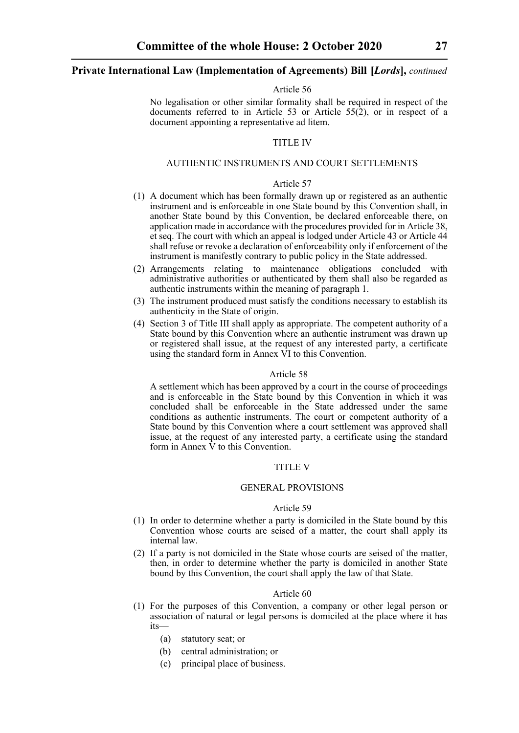## Article 56

No legalisation or other similar formality shall be required in respect of the documents referred to in Article 53 or Article  $55(2)$ , or in respect of a document appointing a representative ad litem.

## TITLE IV

## AUTHENTIC INSTRUMENTS AND COURT SETTLEMENTS

## Article 57

- (1) A document which has been formally drawn up or registered as an authentic instrument and is enforceable in one State bound by this Convention shall, in another State bound by this Convention, be declared enforceable there, on application made in accordance with the procedures provided for in Article 38, et seq. The court with which an appeal is lodged under Article 43 or Article 44 shall refuse or revoke a declaration of enforceability only if enforcement of the instrument is manifestly contrary to public policy in the State addressed.
- (2) Arrangements relating to maintenance obligations concluded with administrative authorities or authenticated by them shall also be regarded as authentic instruments within the meaning of paragraph 1.
- (3) The instrument produced must satisfy the conditions necessary to establish its authenticity in the State of origin.
- (4) Section 3 of Title III shall apply as appropriate. The competent authority of a State bound by this Convention where an authentic instrument was drawn up or registered shall issue, at the request of any interested party, a certificate using the standard form in Annex VI to this Convention.

#### Article 58

A settlement which has been approved by a court in the course of proceedings and is enforceable in the State bound by this Convention in which it was concluded shall be enforceable in the State addressed under the same conditions as authentic instruments. The court or competent authority of a State bound by this Convention where a court settlement was approved shall issue, at the request of any interested party, a certificate using the standard form in Annex  $\hat{V}$  to this Convention.

## TITLE V

#### GENERAL PROVISIONS

#### Article 59

- (1) In order to determine whether a party is domiciled in the State bound by this Convention whose courts are seised of a matter, the court shall apply its internal law.
- (2) If a party is not domiciled in the State whose courts are seised of the matter, then, in order to determine whether the party is domiciled in another State bound by this Convention, the court shall apply the law of that State.

- (1) For the purposes of this Convention, a company or other legal person or association of natural or legal persons is domiciled at the place where it has its—
	- (a) statutory seat; or
	- (b) central administration; or
	- (c) principal place of business.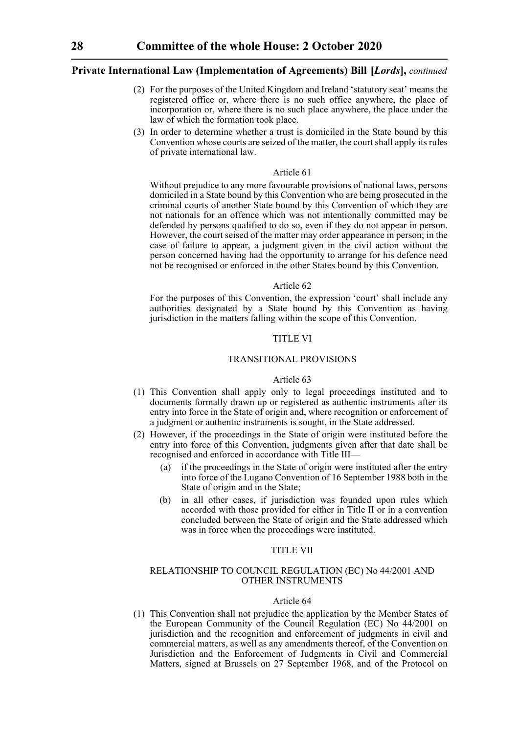- (2) For the purposes of the United Kingdom and Ireland 'statutory seat' means the registered office or, where there is no such office anywhere, the place of incorporation or, where there is no such place anywhere, the place under the law of which the formation took place.
- (3) In order to determine whether a trust is domiciled in the State bound by this Convention whose courts are seized of the matter, the court shall apply its rules of private international law.

#### Article 61

Without prejudice to any more favourable provisions of national laws, persons domiciled in a State bound by this Convention who are being prosecuted in the criminal courts of another State bound by this Convention of which they are not nationals for an offence which was not intentionally committed may be defended by persons qualified to do so, even if they do not appear in person. However, the court seised of the matter may order appearance in person; in the case of failure to appear, a judgment given in the civil action without the person concerned having had the opportunity to arrange for his defence need not be recognised or enforced in the other States bound by this Convention.

#### Article 62

For the purposes of this Convention, the expression 'court' shall include any authorities designated by a State bound by this Convention as having jurisdiction in the matters falling within the scope of this Convention.

## TITLE VI

## TRANSITIONAL PROVISIONS

## Article 63

- (1) This Convention shall apply only to legal proceedings instituted and to documents formally drawn up or registered as authentic instruments after its entry into force in the State of origin and, where recognition or enforcement of a judgment or authentic instruments is sought, in the State addressed.
- (2) However, if the proceedings in the State of origin were instituted before the entry into force of this Convention, judgments given after that date shall be recognised and enforced in accordance with Title III—
	- (a) if the proceedings in the State of origin were instituted after the entry into force of the Lugano Convention of 16 September 1988 both in the State of origin and in the State;
	- (b) in all other cases, if jurisdiction was founded upon rules which accorded with those provided for either in Title II or in a convention concluded between the State of origin and the State addressed which was in force when the proceedings were instituted.

## TITLE VII

## RELATIONSHIP TO COUNCIL REGULATION (EC) No 44/2001 AND OTHER INSTRUMENTS

#### Article 64

(1) This Convention shall not prejudice the application by the Member States of the European Community of the Council Regulation (EC) No 44/2001 on jurisdiction and the recognition and enforcement of judgments in civil and commercial matters, as well as any amendments thereof, of the Convention on Jurisdiction and the Enforcement of Judgments in Civil and Commercial Matters, signed at Brussels on 27 September 1968, and of the Protocol on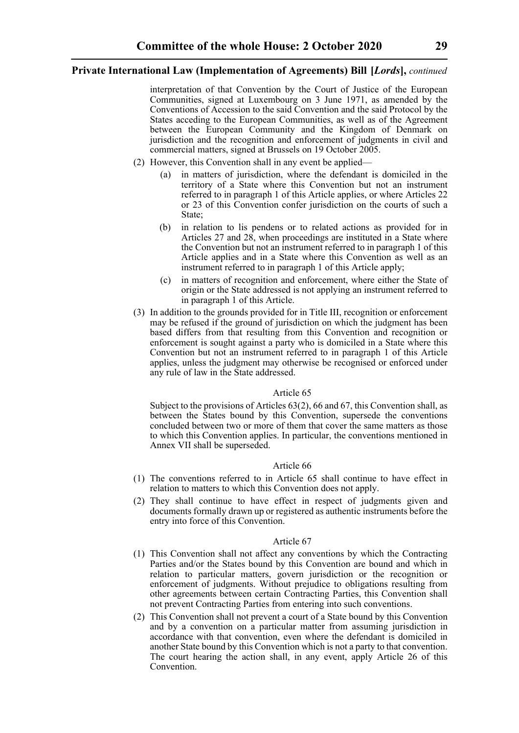interpretation of that Convention by the Court of Justice of the European Communities, signed at Luxembourg on 3 June 1971, as amended by the Conventions of Accession to the said Convention and the said Protocol by the States acceding to the European Communities, as well as of the Agreement between the European Community and the Kingdom of Denmark on jurisdiction and the recognition and enforcement of judgments in civil and commercial matters, signed at Brussels on 19 October 2005.

- (2) However, this Convention shall in any event be applied—
	- (a) in matters of jurisdiction, where the defendant is domiciled in the territory of a State where this Convention but not an instrument referred to in paragraph 1 of this Article applies, or where Articles 22 or 23 of this Convention confer jurisdiction on the courts of such a State;
	- (b) in relation to lis pendens or to related actions as provided for in Articles 27 and 28, when proceedings are instituted in a State where the Convention but not an instrument referred to in paragraph 1 of this Article applies and in a State where this Convention as well as an instrument referred to in paragraph 1 of this Article apply;
	- (c) in matters of recognition and enforcement, where either the State of origin or the State addressed is not applying an instrument referred to in paragraph 1 of this Article.
- (3) In addition to the grounds provided for in Title III, recognition or enforcement may be refused if the ground of jurisdiction on which the judgment has been based differs from that resulting from this Convention and recognition or enforcement is sought against a party who is domiciled in a State where this Convention but not an instrument referred to in paragraph 1 of this Article applies, unless the judgment may otherwise be recognised or enforced under any rule of law in the State addressed.

#### Article 65

Subject to the provisions of Articles 63(2), 66 and 67, this Convention shall, as between the States bound by this Convention, supersede the conventions concluded between two or more of them that cover the same matters as those to which this Convention applies. In particular, the conventions mentioned in Annex VII shall be superseded.

#### Article 66

- (1) The conventions referred to in Article 65 shall continue to have effect in relation to matters to which this Convention does not apply.
- (2) They shall continue to have effect in respect of judgments given and documents formally drawn up or registered as authentic instruments before the entry into force of this Convention.

- (1) This Convention shall not affect any conventions by which the Contracting Parties and/or the States bound by this Convention are bound and which in relation to particular matters, govern jurisdiction or the recognition or enforcement of judgments. Without prejudice to obligations resulting from other agreements between certain Contracting Parties, this Convention shall not prevent Contracting Parties from entering into such conventions.
- (2) This Convention shall not prevent a court of a State bound by this Convention and by a convention on a particular matter from assuming jurisdiction in accordance with that convention, even where the defendant is domiciled in another State bound by this Convention which is not a party to that convention. The court hearing the action shall, in any event, apply Article 26 of this Convention.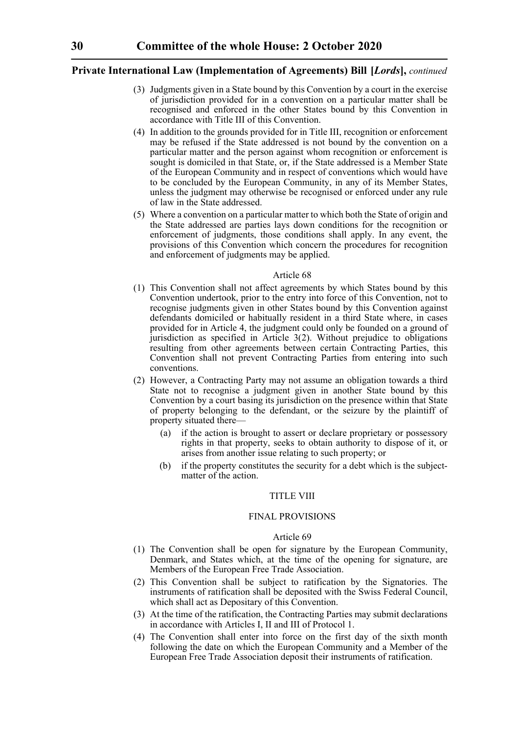- (3) Judgments given in a State bound by this Convention by a court in the exercise of jurisdiction provided for in a convention on a particular matter shall be recognised and enforced in the other States bound by this Convention in accordance with Title III of this Convention.
- (4) In addition to the grounds provided for in Title III, recognition or enforcement may be refused if the State addressed is not bound by the convention on a particular matter and the person against whom recognition or enforcement is sought is domiciled in that State, or, if the State addressed is a Member State of the European Community and in respect of conventions which would have to be concluded by the European Community, in any of its Member States, unless the judgment may otherwise be recognised or enforced under any rule of law in the State addressed.
- (5) Where a convention on a particular matter to which both the State of origin and the State addressed are parties lays down conditions for the recognition or enforcement of judgments, those conditions shall apply. In any event, the provisions of this Convention which concern the procedures for recognition and enforcement of judgments may be applied.

#### Article 68

- (1) This Convention shall not affect agreements by which States bound by this Convention undertook, prior to the entry into force of this Convention, not to recognise judgments given in other States bound by this Convention against defendants domiciled or habitually resident in a third State where, in cases provided for in Article 4, the judgment could only be founded on a ground of jurisdiction as specified in Article 3(2). Without prejudice to obligations resulting from other agreements between certain Contracting Parties, this Convention shall not prevent Contracting Parties from entering into such conventions.
- (2) However, a Contracting Party may not assume an obligation towards a third State not to recognise a judgment given in another State bound by this Convention by a court basing its jurisdiction on the presence within that State of property belonging to the defendant, or the seizure by the plaintiff of property situated there-
	- (a) if the action is brought to assert or declare proprietary or possessory rights in that property, seeks to obtain authority to dispose of it, or arises from another issue relating to such property; or
	- (b) if the property constitutes the security for a debt which is the subjectmatter of the action.

#### TITLE VIII

#### FINAL PROVISIONS

- (1) The Convention shall be open for signature by the European Community, Denmark, and States which, at the time of the opening for signature, are Members of the European Free Trade Association.
- (2) This Convention shall be subject to ratification by the Signatories. The instruments of ratification shall be deposited with the Swiss Federal Council, which shall act as Depositary of this Convention.
- (3) At the time of the ratification, the Contracting Parties may submit declarations in accordance with Articles I, II and III of Protocol 1.
- (4) The Convention shall enter into force on the first day of the sixth month following the date on which the European Community and a Member of the European Free Trade Association deposit their instruments of ratification.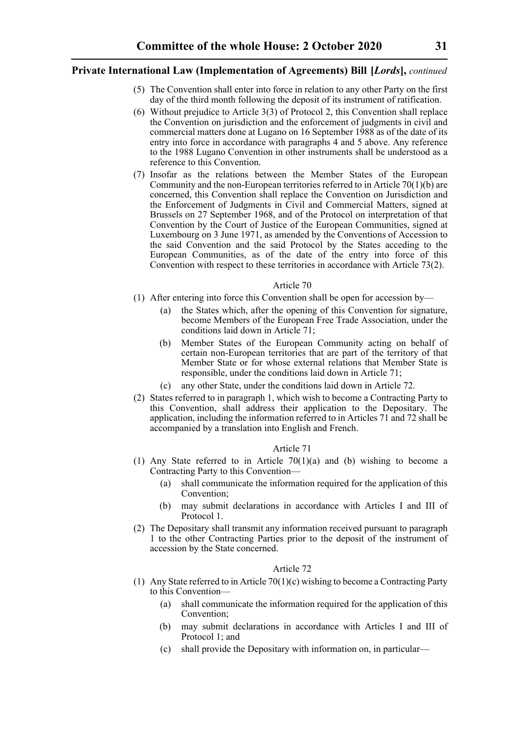- (5) The Convention shall enter into force in relation to any other Party on the first day of the third month following the deposit of its instrument of ratification.
- (6) Without prejudice to Article 3(3) of Protocol 2, this Convention shall replace the Convention on jurisdiction and the enforcement of judgments in civil and commercial matters done at Lugano on 16 September 1988 as of the date of its entry into force in accordance with paragraphs 4 and 5 above. Any reference to the 1988 Lugano Convention in other instruments shall be understood as a reference to this Convention.
- (7) Insofar as the relations between the Member States of the European Community and the non-European territories referred to in Article  $70(1)(b)$  are concerned, this Convention shall replace the Convention on Jurisdiction and the Enforcement of Judgments in Civil and Commercial Matters, signed at Brussels on 27 September 1968, and of the Protocol on interpretation of that Convention by the Court of Justice of the European Communities, signed at Luxembourg on 3 June 1971, as amended by the Conventions of Accession to the said Convention and the said Protocol by the States acceding to the European Communities, as of the date of the entry into force of this Convention with respect to these territories in accordance with Article 73(2).

#### Article 70

- (1) After entering into force this Convention shall be open for accession by—
	- (a) the States which, after the opening of this Convention for signature, become Members of the European Free Trade Association, under the conditions laid down in Article 71;
	- (b) Member States of the European Community acting on behalf of certain non-European territories that are part of the territory of that Member State or for whose external relations that Member State is responsible, under the conditions laid down in Article 71;
	- (c) any other State, under the conditions laid down in Article 72.
- (2) States referred to in paragraph 1, which wish to become a Contracting Party to this Convention, shall address their application to the Depositary. The application, including the information referred to in Articles 71 and 72 shall be accompanied by a translation into English and French.

#### Article 71

- (1) Any State referred to in Article 70(1)(a) and (b) wishing to become a Contracting Party to this Convention—
	- (a) shall communicate the information required for the application of this Convention;
	- (b) may submit declarations in accordance with Articles I and III of Protocol 1.
- (2) The Depositary shall transmit any information received pursuant to paragraph 1 to the other Contracting Parties prior to the deposit of the instrument of accession by the State concerned.

- (1) Any State referred to in Article 70(1)(c) wishing to become a Contracting Party to this Convention—
	- (a) shall communicate the information required for the application of this Convention;
	- (b) may submit declarations in accordance with Articles I and III of Protocol 1; and
	- (c) shall provide the Depositary with information on, in particular—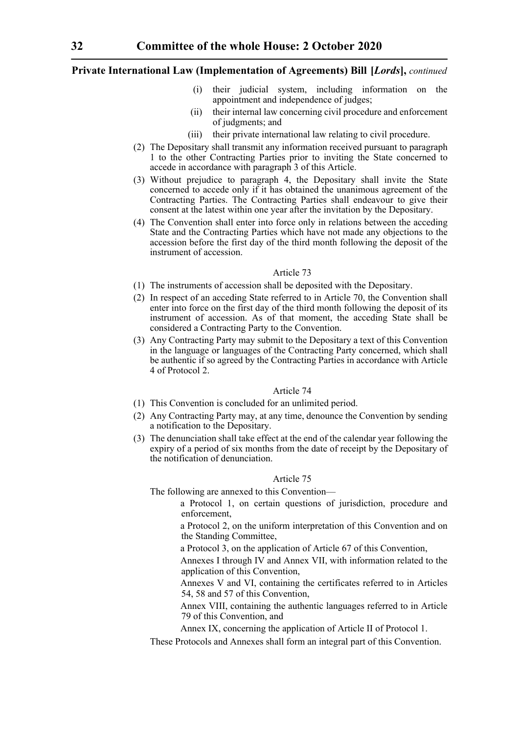- (i) their judicial system, including information on the appointment and independence of judges;
- (ii) their internal law concerning civil procedure and enforcement of judgments; and
- (iii) their private international law relating to civil procedure.
- (2) The Depositary shall transmit any information received pursuant to paragraph 1 to the other Contracting Parties prior to inviting the State concerned to accede in accordance with paragraph 3 of this Article.
- (3) Without prejudice to paragraph 4, the Depositary shall invite the State concerned to accede only if it has obtained the unanimous agreement of the Contracting Parties. The Contracting Parties shall endeavour to give their consent at the latest within one year after the invitation by the Depositary.
- (4) The Convention shall enter into force only in relations between the acceding State and the Contracting Parties which have not made any objections to the accession before the first day of the third month following the deposit of the instrument of accession.

## Article 73

- (1) The instruments of accession shall be deposited with the Depositary.
- (2) In respect of an acceding State referred to in Article 70, the Convention shall enter into force on the first day of the third month following the deposit of its instrument of accession. As of that moment, the acceding State shall be considered a Contracting Party to the Convention.
- (3) Any Contracting Party may submit to the Depositary a text of this Convention in the language or languages of the Contracting Party concerned, which shall be authentic if so agreed by the Contracting Parties in accordance with Article 4 of Protocol 2.

## Article 74

- (1) This Convention is concluded for an unlimited period.
- (2) Any Contracting Party may, at any time, denounce the Convention by sending a notification to the Depositary.
- (3) The denunciation shall take effect at the end of the calendar year following the expiry of a period of six months from the date of receipt by the Depositary of the notification of denunciation.

## Article 75

The following are annexed to this Convention—

a Protocol 1, on certain questions of jurisdiction, procedure and enforcement,

a Protocol 2, on the uniform interpretation of this Convention and on the Standing Committee,

a Protocol 3, on the application of Article 67 of this Convention,

Annexes I through IV and Annex VII, with information related to the application of this Convention,

Annexes V and VI, containing the certificates referred to in Articles 54, 58 and 57 of this Convention,

Annex VIII, containing the authentic languages referred to in Article 79 of this Convention, and

Annex IX, concerning the application of Article II of Protocol 1.

These Protocols and Annexes shall form an integral part of this Convention.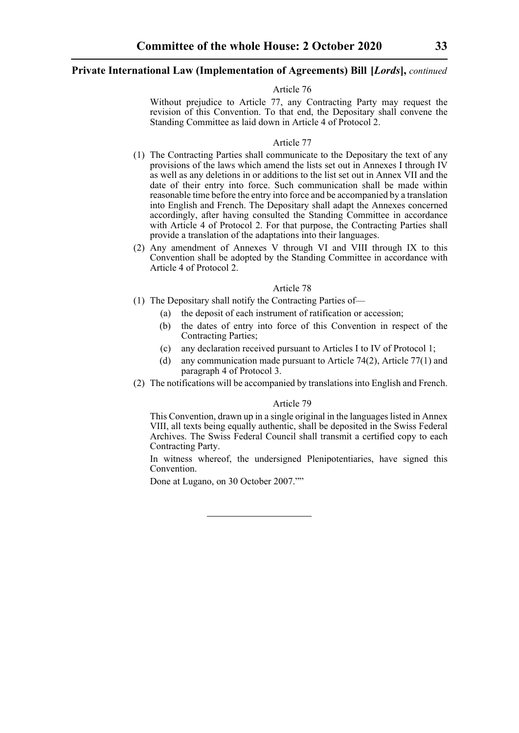## Article 76

Without prejudice to Article 77, any Contracting Party may request the revision of this Convention. To that end, the Depositary shall convene the Standing Committee as laid down in Article 4 of Protocol 2.

## Article 77

- (1) The Contracting Parties shall communicate to the Depositary the text of any provisions of the laws which amend the lists set out in Annexes I through IV as well as any deletions in or additions to the list set out in Annex VII and the date of their entry into force. Such communication shall be made within reasonable time before the entry into force and be accompanied by a translation into English and French. The Depositary shall adapt the Annexes concerned accordingly, after having consulted the Standing Committee in accordance with Article 4 of Protocol 2. For that purpose, the Contracting Parties shall provide a translation of the adaptations into their languages.
- (2) Any amendment of Annexes V through VI and VIII through IX to this Convention shall be adopted by the Standing Committee in accordance with Article 4 of Protocol 2.

#### Article 78

- (1) The Depositary shall notify the Contracting Parties of—
	- (a) the deposit of each instrument of ratification or accession;
	- (b) the dates of entry into force of this Convention in respect of the Contracting Parties;
	- (c) any declaration received pursuant to Articles I to IV of Protocol 1;
	- (d) any communication made pursuant to Article 74(2), Article 77(1) and paragraph 4 of Protocol 3.
- (2) The notifications will be accompanied by translations into English and French.

#### Article 79

This Convention, drawn up in a single original in the languages listed in Annex VIII, all texts being equally authentic, shall be deposited in the Swiss Federal Archives. The Swiss Federal Council shall transmit a certified copy to each Contracting Party.

In witness whereof, the undersigned Plenipotentiaries, have signed this Convention.

Done at Lugano, on 30 October 2007.""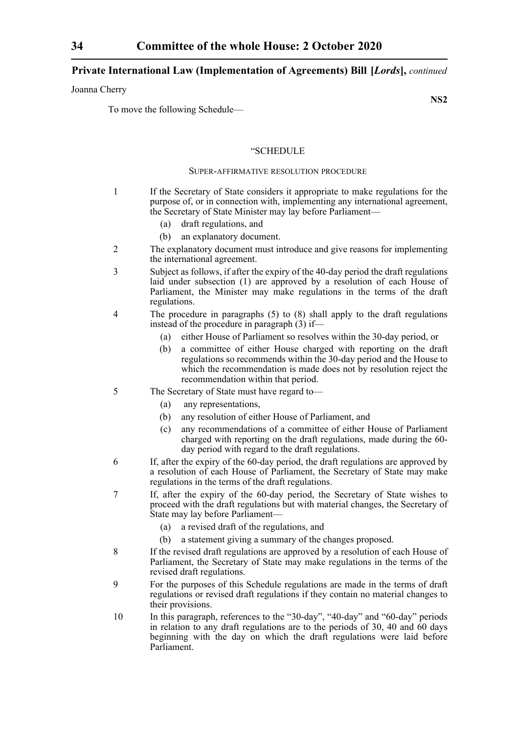## Joanna Cherry

To move the following Schedule—

**NS2**

#### "SCHEDULE

#### SUPER-AFFIRMATIVE RESOLUTION PROCEDURE

- 1 If the Secretary of State considers it appropriate to make regulations for the purpose of, or in connection with, implementing any international agreement, the Secretary of State Minister may lay before Parliament—
	- (a) draft regulations, and
	- (b) an explanatory document.
- 2 The explanatory document must introduce and give reasons for implementing the international agreement.
- 3 Subject as follows, if after the expiry of the 40-day period the draft regulations laid under subsection (1) are approved by a resolution of each House of Parliament, the Minister may make regulations in the terms of the draft regulations.
- 4 The procedure in paragraphs (5) to (8) shall apply to the draft regulations instead of the procedure in paragraph (3) if—
	- (a) either House of Parliament so resolves within the 30-day period, or
	- (b) a committee of either House charged with reporting on the draft regulations so recommends within the 30-day period and the House to which the recommendation is made does not by resolution reject the recommendation within that period.
- 5 The Secretary of State must have regard to—
	- (a) any representations,
	- (b) any resolution of either House of Parliament, and
	- (c) any recommendations of a committee of either House of Parliament charged with reporting on the draft regulations, made during the 60 day period with regard to the draft regulations.
- 6 If, after the expiry of the 60-day period, the draft regulations are approved by a resolution of each House of Parliament, the Secretary of State may make regulations in the terms of the draft regulations.
- 7 If, after the expiry of the 60-day period, the Secretary of State wishes to proceed with the draft regulations but with material changes, the Secretary of State may lay before Parliament—
	- (a) a revised draft of the regulations, and
	- (b) a statement giving a summary of the changes proposed.
- 8 If the revised draft regulations are approved by a resolution of each House of Parliament, the Secretary of State may make regulations in the terms of the revised draft regulations.
- 9 For the purposes of this Schedule regulations are made in the terms of draft regulations or revised draft regulations if they contain no material changes to their provisions.
- 10 In this paragraph, references to the "30-day", "40-day" and "60-day" periods in relation to any draft regulations are to the periods of 30, 40 and 60 days beginning with the day on which the draft regulations were laid before Parliament.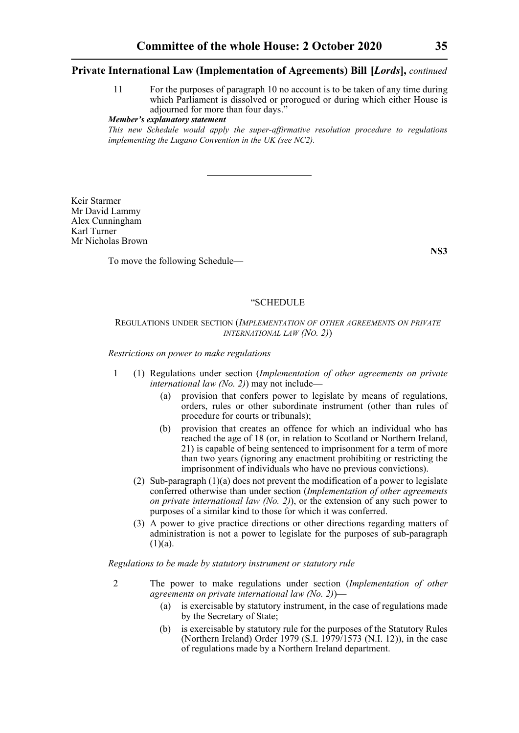11 For the purposes of paragraph 10 no account is to be taken of any time during which Parliament is dissolved or prorogued or during which either House is adjourned for more than four days."

## *Member's explanatory statement*

*This new Schedule would apply the super-affirmative resolution procedure to regulations implementing the Lugano Convention in the UK (see NC2).*

Keir Starmer Mr David Lammy Alex Cunningham Karl Turner Mr Nicholas Brown

**NS3**

To move the following Schedule—

## "SCHEDULE

## REGULATIONS UNDER SECTION (*IMPLEMENTATION OF OTHER AGREEMENTS ON PRIVATE INTERNATIONAL LAW (NO. 2)*)

#### *Restrictions on power to make regulations*

- 1 (1) Regulations under section (*Implementation of other agreements on private international law (No. 2)*) may not include—
	- (a) provision that confers power to legislate by means of regulations, orders, rules or other subordinate instrument (other than rules of procedure for courts or tribunals);
	- (b) provision that creates an offence for which an individual who has reached the age of 18 (or, in relation to Scotland or Northern Ireland, 21) is capable of being sentenced to imprisonment for a term of more than two years (ignoring any enactment prohibiting or restricting the imprisonment of individuals who have no previous convictions).
	- (2) Sub-paragraph (1)(a) does not prevent the modification of a power to legislate conferred otherwise than under section (*Implementation of other agreements on private international law (No. 2)*), or the extension of any such power to purposes of a similar kind to those for which it was conferred.
	- (3) A power to give practice directions or other directions regarding matters of administration is not a power to legislate for the purposes of sub-paragraph  $(1)(a)$ .

*Regulations to be made by statutory instrument or statutory rule*

- 2 The power to make regulations under section (*Implementation of other agreements on private international law (No. 2)*)—
	- (a) is exercisable by statutory instrument, in the case of regulations made by the Secretary of State;
	- (b) is exercisable by statutory rule for the purposes of the Statutory Rules (Northern Ireland) Order 1979 (S.I. 1979/1573 (N.I. 12)), in the case of regulations made by a Northern Ireland department.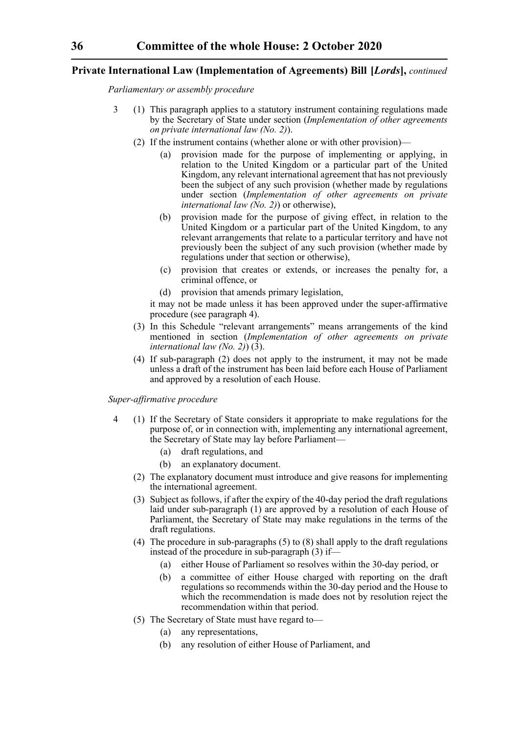*Parliamentary or assembly procedure*

- 3 (1) This paragraph applies to a statutory instrument containing regulations made by the Secretary of State under section (*Implementation of other agreements on private international law (No. 2)*).
	- (2) If the instrument contains (whether alone or with other provision)—
		- (a) provision made for the purpose of implementing or applying, in relation to the United Kingdom or a particular part of the United Kingdom, any relevant international agreement that has not previously been the subject of any such provision (whether made by regulations under section (*Implementation of other agreements on private international law (No. 2)*) or otherwise),
		- (b) provision made for the purpose of giving effect, in relation to the United Kingdom or a particular part of the United Kingdom, to any relevant arrangements that relate to a particular territory and have not previously been the subject of any such provision (whether made by regulations under that section or otherwise),
		- (c) provision that creates or extends, or increases the penalty for, a criminal offence, or
		- (d) provision that amends primary legislation,

it may not be made unless it has been approved under the super-affirmative procedure (see paragraph 4).

- (3) In this Schedule "relevant arrangements" means arrangements of the kind mentioned in section (*Implementation of other agreements on private international law (No. 2)*) (3).
- (4) If sub-paragraph (2) does not apply to the instrument, it may not be made unless a draft of the instrument has been laid before each House of Parliament and approved by a resolution of each House.

*Super-affirmative procedure*

- 4 (1) If the Secretary of State considers it appropriate to make regulations for the purpose of, or in connection with, implementing any international agreement, the Secretary of State may lay before Parliament—
	- (a) draft regulations, and
	- (b) an explanatory document.
	- (2) The explanatory document must introduce and give reasons for implementing the international agreement.
	- (3) Subject as follows, if after the expiry of the 40-day period the draft regulations laid under sub-paragraph (1) are approved by a resolution of each House of Parliament, the Secretary of State may make regulations in the terms of the draft regulations.
	- (4) The procedure in sub-paragraphs (5) to (8) shall apply to the draft regulations instead of the procedure in sub-paragraph (3) if—
		- (a) either House of Parliament so resolves within the 30-day period, or
		- (b) a committee of either House charged with reporting on the draft regulations so recommends within the 30-day period and the House to which the recommendation is made does not by resolution reject the recommendation within that period.
	- (5) The Secretary of State must have regard to—
		- (a) any representations,
		- (b) any resolution of either House of Parliament, and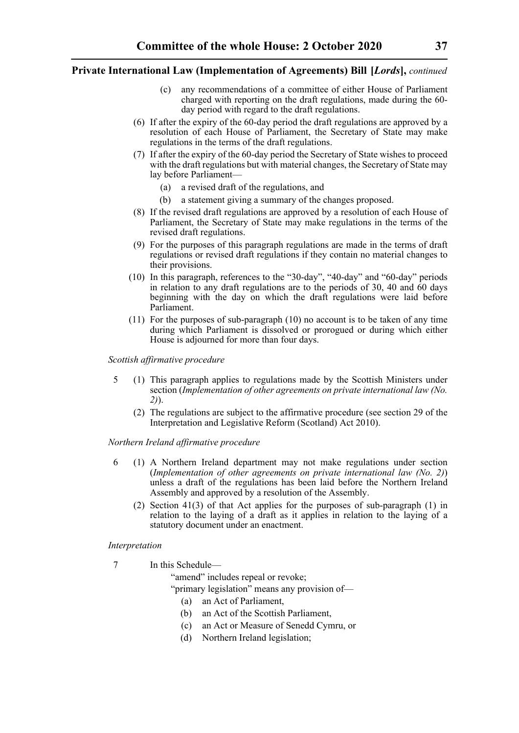- (c) any recommendations of a committee of either House of Parliament charged with reporting on the draft regulations, made during the 60 day period with regard to the draft regulations.
- (6) If after the expiry of the 60-day period the draft regulations are approved by a resolution of each House of Parliament, the Secretary of State may make regulations in the terms of the draft regulations.
- (7) If after the expiry of the 60-day period the Secretary of State wishes to proceed with the draft regulations but with material changes, the Secretary of State may lay before Parliament—
	- (a) a revised draft of the regulations, and
	- (b) a statement giving a summary of the changes proposed.
- (8) If the revised draft regulations are approved by a resolution of each House of Parliament, the Secretary of State may make regulations in the terms of the revised draft regulations.
- (9) For the purposes of this paragraph regulations are made in the terms of draft regulations or revised draft regulations if they contain no material changes to their provisions.
- (10) In this paragraph, references to the "30-day", "40-day" and "60-day" periods in relation to any draft regulations are to the periods of 30, 40 and 60 days beginning with the day on which the draft regulations were laid before Parliament.
- (11) For the purposes of sub-paragraph (10) no account is to be taken of any time during which Parliament is dissolved or prorogued or during which either House is adjourned for more than four days.

## *Scottish affirmative procedure*

- 5 (1) This paragraph applies to regulations made by the Scottish Ministers under section (*Implementation of other agreements on private international law (No. 2)*).
	- (2) The regulations are subject to the affirmative procedure (see section 29 of the Interpretation and Legislative Reform (Scotland) Act 2010).

## *Northern Ireland affirmative procedure*

- 6 (1) A Northern Ireland department may not make regulations under section (*Implementation of other agreements on private international law (No. 2)*) unless a draft of the regulations has been laid before the Northern Ireland Assembly and approved by a resolution of the Assembly.
	- (2) Section 41(3) of that Act applies for the purposes of sub-paragraph (1) in relation to the laying of a draft as it applies in relation to the laying of a statutory document under an enactment.

#### *Interpretation*

7 In this Schedule—

"amend" includes repeal or revoke;

"primary legislation" means any provision of—

- (a) an Act of Parliament,
- (b) an Act of the Scottish Parliament,
- (c) an Act or Measure of Senedd Cymru, or
- (d) Northern Ireland legislation;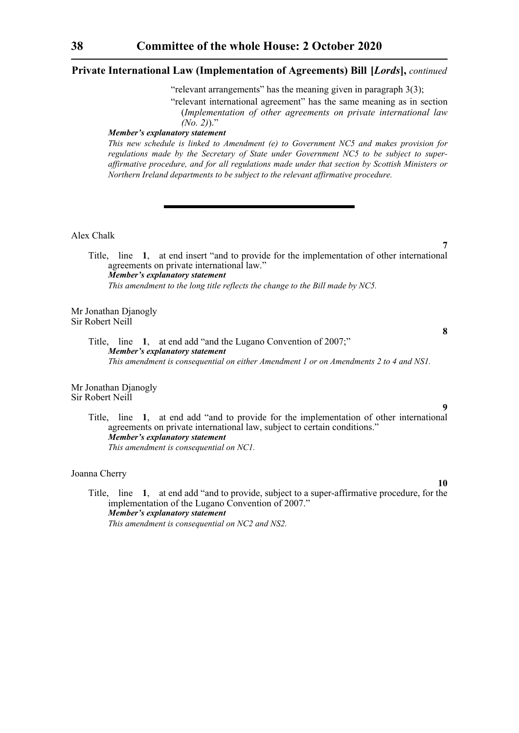"relevant arrangements" has the meaning given in paragraph 3(3);

"relevant international agreement" has the same meaning as in section (*Implementation of other agreements on private international law (No. 2)*)."

## *Member's explanatory statement*

*This new schedule is linked to Amendment (e) to Government NC5 and makes provision for regulations made by the Secretary of State under Government NC5 to be subject to superaffirmative procedure, and for all regulations made under that section by Scottish Ministers or Northern Ireland departments to be subject to the relevant affirmative procedure.*

Alex Chalk

**7**

**8**

**9**

Title, line **1**, at end insert "and to provide for the implementation of other international agreements on private international law." *Member's explanatory statement* 

*This amendment to the long title reflects the change to the Bill made by NC5.*

Mr Jonathan Djanogly Sir Robert Neill

> Title, line **1**, at end add "and the Lugano Convention of 2007;" *Member's explanatory statement This amendment is consequential on either Amendment 1 or on Amendments 2 to 4 and NS1.*

Mr Jonathan Djanogly Sir Robert Neill

> Title, line **1**, at end add "and to provide for the implementation of other international agreements on private international law, subject to certain conditions." *Member's explanatory statement This amendment is consequential on NC1.*

Joanna Cherry

Title, line **1**, at end add "and to provide, subject to a super-affirmative procedure, for the implementation of the Lugano Convention of 2007." *Member's explanatory statement This amendment is consequential on NC2 and NS2.*

#### **10**